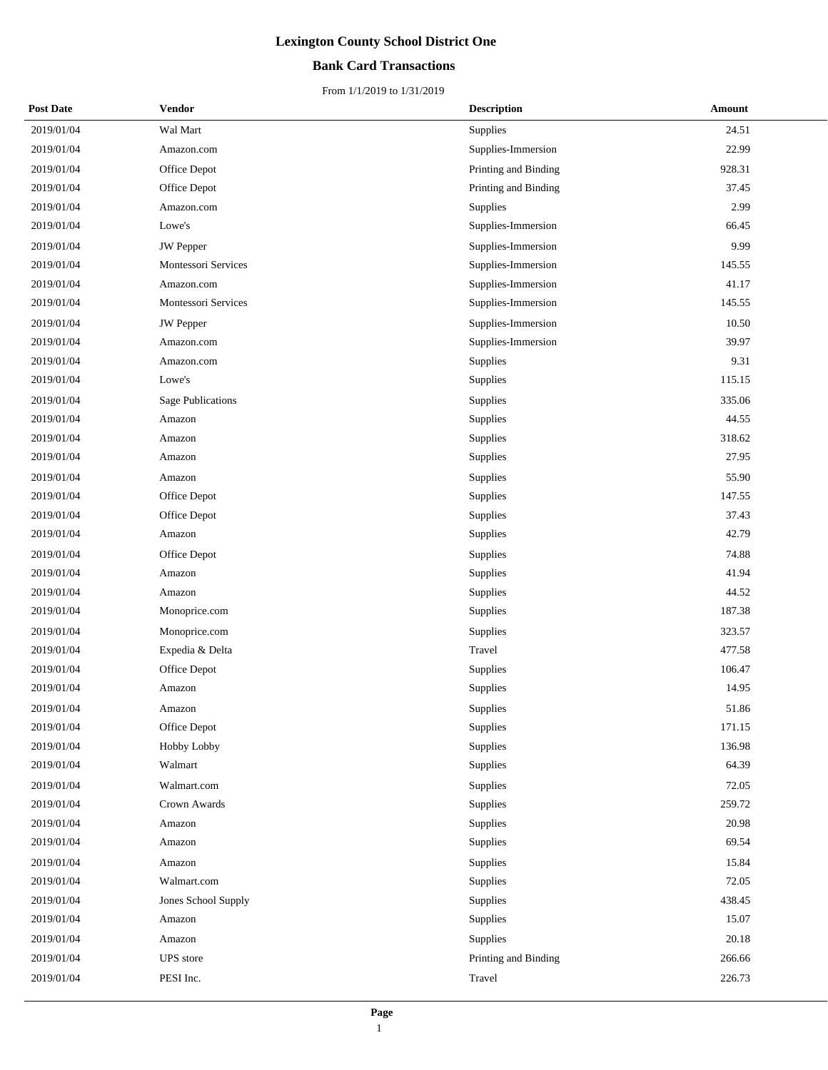### **Bank Card Transactions**

| <b>Post Date</b> | <b>Vendor</b>            | <b>Description</b>   | Amount |
|------------------|--------------------------|----------------------|--------|
| 2019/01/04       | Wal Mart                 | Supplies             | 24.51  |
| 2019/01/04       | Amazon.com               | Supplies-Immersion   | 22.99  |
| 2019/01/04       | Office Depot             | Printing and Binding | 928.31 |
| 2019/01/04       | Office Depot             | Printing and Binding | 37.45  |
| 2019/01/04       | Amazon.com               | Supplies             | 2.99   |
| 2019/01/04       | Lowe's                   | Supplies-Immersion   | 66.45  |
| 2019/01/04       | JW Pepper                | Supplies-Immersion   | 9.99   |
| 2019/01/04       | Montessori Services      | Supplies-Immersion   | 145.55 |
| 2019/01/04       | Amazon.com               | Supplies-Immersion   | 41.17  |
| 2019/01/04       | Montessori Services      | Supplies-Immersion   | 145.55 |
| 2019/01/04       | <b>JW</b> Pepper         | Supplies-Immersion   | 10.50  |
| 2019/01/04       | Amazon.com               | Supplies-Immersion   | 39.97  |
| 2019/01/04       | Amazon.com               | Supplies             | 9.31   |
| 2019/01/04       | Lowe's                   | Supplies             | 115.15 |
| 2019/01/04       | <b>Sage Publications</b> | Supplies             | 335.06 |
| 2019/01/04       | Amazon                   | Supplies             | 44.55  |
| 2019/01/04       | Amazon                   | Supplies             | 318.62 |
| 2019/01/04       | Amazon                   | Supplies             | 27.95  |
| 2019/01/04       | Amazon                   | Supplies             | 55.90  |
| 2019/01/04       | Office Depot             | Supplies             | 147.55 |
| 2019/01/04       | Office Depot             | Supplies             | 37.43  |
| 2019/01/04       | Amazon                   | Supplies             | 42.79  |
| 2019/01/04       | Office Depot             | Supplies             | 74.88  |
| 2019/01/04       | Amazon                   | Supplies             | 41.94  |
| 2019/01/04       | Amazon                   | Supplies             | 44.52  |
| 2019/01/04       | Monoprice.com            | Supplies             | 187.38 |
| 2019/01/04       | Monoprice.com            | Supplies             | 323.57 |
| 2019/01/04       | Expedia & Delta          | Travel               | 477.58 |
| 2019/01/04       | Office Depot             | Supplies             | 106.47 |
| 2019/01/04       | Amazon                   | Supplies             | 14.95  |
| 2019/01/04       | Amazon                   | Supplies             | 51.86  |
| 2019/01/04       | Office Depot             | Supplies             | 171.15 |
| 2019/01/04       | Hobby Lobby              | Supplies             | 136.98 |
| 2019/01/04       | Walmart                  | Supplies             | 64.39  |
| 2019/01/04       | Walmart.com              | Supplies             | 72.05  |
| 2019/01/04       | Crown Awards             | Supplies             | 259.72 |
| 2019/01/04       | Amazon                   | Supplies             | 20.98  |
| 2019/01/04       | Amazon                   | Supplies             | 69.54  |
| 2019/01/04       | Amazon                   | Supplies             | 15.84  |
| 2019/01/04       | Walmart.com              | Supplies             | 72.05  |
| 2019/01/04       | Jones School Supply      | Supplies             | 438.45 |
| 2019/01/04       | Amazon                   | Supplies             | 15.07  |
| 2019/01/04       | Amazon                   | Supplies             | 20.18  |
| 2019/01/04       | <b>UPS</b> store         | Printing and Binding | 266.66 |
| 2019/01/04       | PESI Inc.                | Travel               | 226.73 |
|                  |                          |                      |        |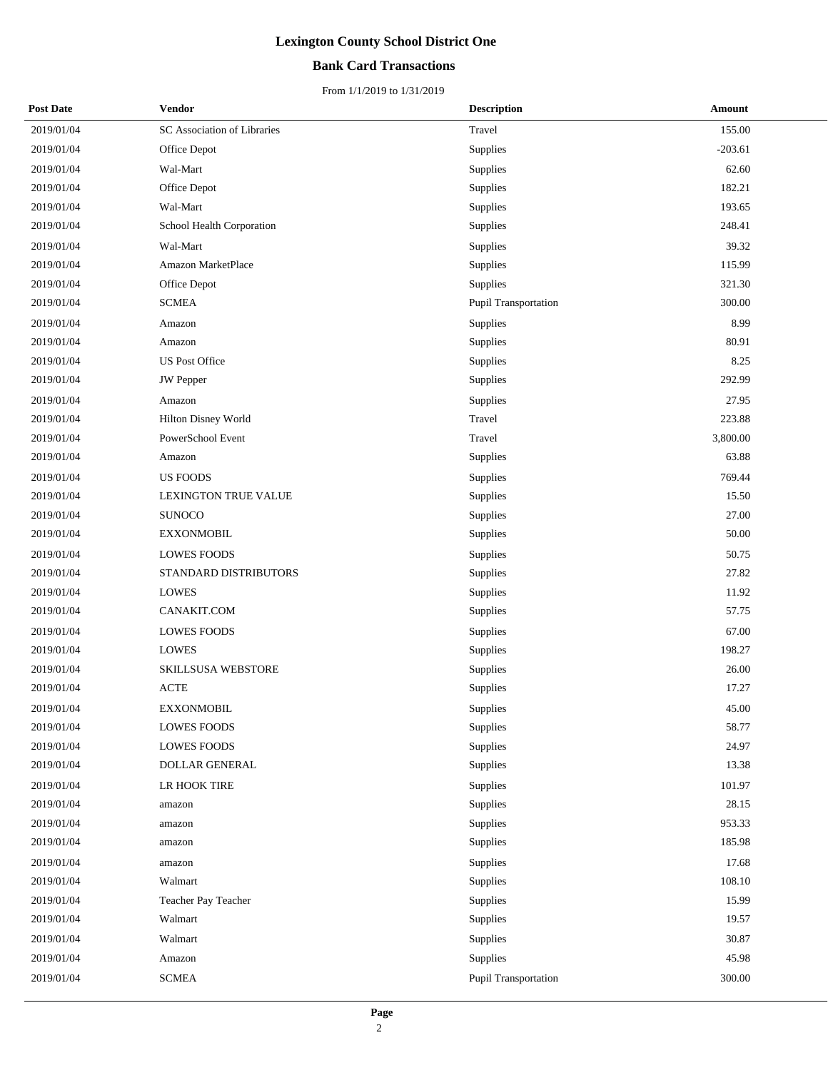### **Bank Card Transactions**

| <b>Post Date</b> | Vendor                      | <b>Description</b>          | Amount    |
|------------------|-----------------------------|-----------------------------|-----------|
| 2019/01/04       | SC Association of Libraries | Travel                      | 155.00    |
| 2019/01/04       | Office Depot                | Supplies                    | $-203.61$ |
| 2019/01/04       | Wal-Mart                    | Supplies                    | 62.60     |
| 2019/01/04       | Office Depot                | Supplies                    | 182.21    |
| 2019/01/04       | Wal-Mart                    | Supplies                    | 193.65    |
| 2019/01/04       | School Health Corporation   | Supplies                    | 248.41    |
| 2019/01/04       | Wal-Mart                    | Supplies                    | 39.32     |
| 2019/01/04       | Amazon MarketPlace          | Supplies                    | 115.99    |
| 2019/01/04       | Office Depot                | Supplies                    | 321.30    |
| 2019/01/04       | <b>SCMEA</b>                | Pupil Transportation        | 300.00    |
| 2019/01/04       | Amazon                      | Supplies                    | 8.99      |
| 2019/01/04       | Amazon                      | Supplies                    | 80.91     |
| 2019/01/04       | <b>US Post Office</b>       | Supplies                    | 8.25      |
| 2019/01/04       | <b>JW</b> Pepper            | Supplies                    | 292.99    |
| 2019/01/04       | Amazon                      | Supplies                    | 27.95     |
| 2019/01/04       | Hilton Disney World         | Travel                      | 223.88    |
| 2019/01/04       | PowerSchool Event           | Travel                      | 3,800.00  |
| 2019/01/04       | Amazon                      | Supplies                    | 63.88     |
| 2019/01/04       | US FOODS                    | Supplies                    | 769.44    |
| 2019/01/04       | LEXINGTON TRUE VALUE        | Supplies                    | 15.50     |
| 2019/01/04       | <b>SUNOCO</b>               | Supplies                    | 27.00     |
| 2019/01/04       | <b>EXXONMOBIL</b>           | Supplies                    | 50.00     |
| 2019/01/04       | <b>LOWES FOODS</b>          | Supplies                    | 50.75     |
| 2019/01/04       | STANDARD DISTRIBUTORS       | Supplies                    | 27.82     |
| 2019/01/04       | LOWES                       | Supplies                    | 11.92     |
| 2019/01/04       | CANAKIT.COM                 | Supplies                    | 57.75     |
| 2019/01/04       | <b>LOWES FOODS</b>          | Supplies                    | 67.00     |
| 2019/01/04       | <b>LOWES</b>                | Supplies                    | 198.27    |
| 2019/01/04       | <b>SKILLSUSA WEBSTORE</b>   | Supplies                    | 26.00     |
| 2019/01/04       | <b>ACTE</b>                 | Supplies                    | 17.27     |
| 2019/01/04       | <b>EXXONMOBIL</b>           | Supplies                    | 45.00     |
| 2019/01/04       | <b>LOWES FOODS</b>          | Supplies                    | 58.77     |
| 2019/01/04       | <b>LOWES FOODS</b>          | Supplies                    | 24.97     |
| 2019/01/04       | DOLLAR GENERAL              | Supplies                    | 13.38     |
| 2019/01/04       | LR HOOK TIRE                | Supplies                    | 101.97    |
| 2019/01/04       | amazon                      | Supplies                    | 28.15     |
| 2019/01/04       | amazon                      | Supplies                    | 953.33    |
| 2019/01/04       | amazon                      | Supplies                    | 185.98    |
| 2019/01/04       | amazon                      | Supplies                    | 17.68     |
| 2019/01/04       | Walmart                     | Supplies                    | 108.10    |
| 2019/01/04       | Teacher Pay Teacher         | Supplies                    | 15.99     |
| 2019/01/04       | Walmart                     | Supplies                    | 19.57     |
| 2019/01/04       | Walmart                     | Supplies                    | 30.87     |
| 2019/01/04       | Amazon                      | Supplies                    | 45.98     |
| 2019/01/04       | <b>SCMEA</b>                | <b>Pupil Transportation</b> | 300.00    |
|                  |                             |                             |           |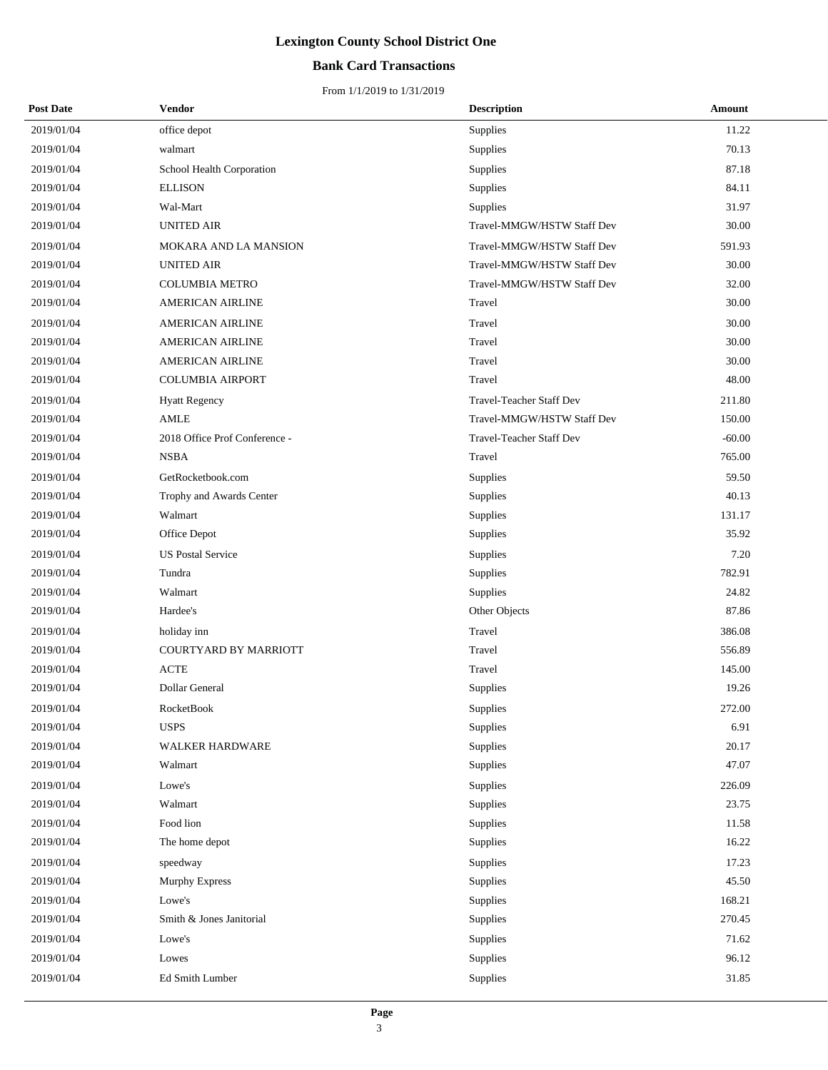### **Bank Card Transactions**

| <b>Post Date</b> | <b>Vendor</b>                 | <b>Description</b>              | Amount   |
|------------------|-------------------------------|---------------------------------|----------|
| 2019/01/04       | office depot                  | Supplies                        | 11.22    |
| 2019/01/04       | walmart                       | Supplies                        | 70.13    |
| 2019/01/04       | School Health Corporation     | Supplies                        | 87.18    |
| 2019/01/04       | <b>ELLISON</b>                | Supplies                        | 84.11    |
| 2019/01/04       | Wal-Mart                      | Supplies                        | 31.97    |
| 2019/01/04       | <b>UNITED AIR</b>             | Travel-MMGW/HSTW Staff Dev      | 30.00    |
| 2019/01/04       | MOKARA AND LA MANSION         | Travel-MMGW/HSTW Staff Dev      | 591.93   |
| 2019/01/04       | <b>UNITED AIR</b>             | Travel-MMGW/HSTW Staff Dev      | 30.00    |
| 2019/01/04       | <b>COLUMBIA METRO</b>         | Travel-MMGW/HSTW Staff Dev      | 32.00    |
| 2019/01/04       | <b>AMERICAN AIRLINE</b>       | Travel                          | 30.00    |
| 2019/01/04       | <b>AMERICAN AIRLINE</b>       | Travel                          | 30.00    |
| 2019/01/04       | <b>AMERICAN AIRLINE</b>       | Travel                          | 30.00    |
| 2019/01/04       | <b>AMERICAN AIRLINE</b>       | Travel                          | 30.00    |
| 2019/01/04       | <b>COLUMBIA AIRPORT</b>       | Travel                          | 48.00    |
| 2019/01/04       | <b>Hyatt Regency</b>          | <b>Travel-Teacher Staff Dev</b> | 211.80   |
| 2019/01/04       | AMLE                          | Travel-MMGW/HSTW Staff Dev      | 150.00   |
| 2019/01/04       | 2018 Office Prof Conference - | Travel-Teacher Staff Dev        | $-60.00$ |
| 2019/01/04       | <b>NSBA</b>                   | Travel                          | 765.00   |
| 2019/01/04       | GetRocketbook.com             | Supplies                        | 59.50    |
| 2019/01/04       | Trophy and Awards Center      | Supplies                        | 40.13    |
| 2019/01/04       | Walmart                       | Supplies                        | 131.17   |
| 2019/01/04       | Office Depot                  | Supplies                        | 35.92    |
| 2019/01/04       | <b>US Postal Service</b>      | Supplies                        | 7.20     |
| 2019/01/04       | Tundra                        | Supplies                        | 782.91   |
| 2019/01/04       | Walmart                       | Supplies                        | 24.82    |
| 2019/01/04       | Hardee's                      | Other Objects                   | 87.86    |
| 2019/01/04       | holiday inn                   | Travel                          | 386.08   |
| 2019/01/04       | <b>COURTYARD BY MARRIOTT</b>  | Travel                          | 556.89   |
| 2019/01/04       | <b>ACTE</b>                   | Travel                          | 145.00   |
| 2019/01/04       | Dollar General                | Supplies                        | 19.26    |
| 2019/01/04       | RocketBook                    | Supplies                        | 272.00   |
| 2019/01/04       | <b>USPS</b>                   | Supplies                        | 6.91     |
| 2019/01/04       | <b>WALKER HARDWARE</b>        | Supplies                        | 20.17    |
| 2019/01/04       | Walmart                       | Supplies                        | 47.07    |
| 2019/01/04       | Lowe's                        | Supplies                        | 226.09   |
| 2019/01/04       | Walmart                       | Supplies                        | 23.75    |
| 2019/01/04       | Food lion                     | Supplies                        | 11.58    |
| 2019/01/04       | The home depot                | Supplies                        | 16.22    |
| 2019/01/04       | speedway                      | Supplies                        | 17.23    |
| 2019/01/04       | Murphy Express                | Supplies                        | 45.50    |
| 2019/01/04       | Lowe's                        | Supplies                        | 168.21   |
| 2019/01/04       | Smith & Jones Janitorial      | Supplies                        | 270.45   |
| 2019/01/04       | Lowe's                        | Supplies                        | 71.62    |
| 2019/01/04       | Lowes                         | Supplies                        | 96.12    |
| 2019/01/04       | Ed Smith Lumber               | Supplies                        | 31.85    |
|                  |                               |                                 |          |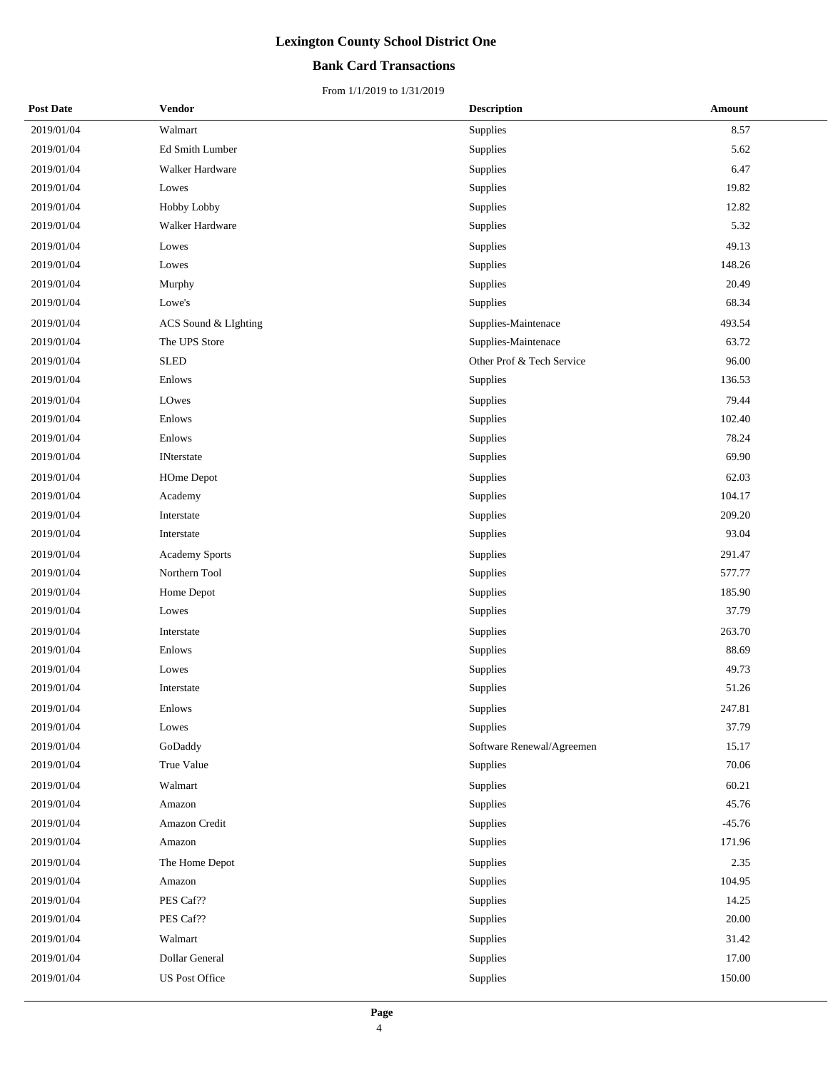### **Bank Card Transactions**

| <b>Post Date</b> | <b>Vendor</b>         | <b>Description</b>        | Amount   |
|------------------|-----------------------|---------------------------|----------|
| 2019/01/04       | Walmart               | Supplies                  | 8.57     |
| 2019/01/04       | Ed Smith Lumber       | Supplies                  | 5.62     |
| 2019/01/04       | Walker Hardware       | Supplies                  | 6.47     |
| 2019/01/04       | Lowes                 | Supplies                  | 19.82    |
| 2019/01/04       | Hobby Lobby           | Supplies                  | 12.82    |
| 2019/01/04       | Walker Hardware       | Supplies                  | 5.32     |
| 2019/01/04       | Lowes                 | Supplies                  | 49.13    |
| 2019/01/04       | Lowes                 | Supplies                  | 148.26   |
| 2019/01/04       | Murphy                | Supplies                  | 20.49    |
| 2019/01/04       | Lowe's                | Supplies                  | 68.34    |
| 2019/01/04       | ACS Sound & LIghting  | Supplies-Maintenace       | 493.54   |
| 2019/01/04       | The UPS Store         | Supplies-Maintenace       | 63.72    |
| 2019/01/04       | ${\hbox{\rm SLED}}$   | Other Prof & Tech Service | 96.00    |
| 2019/01/04       | Enlows                | Supplies                  | 136.53   |
| 2019/01/04       | LOwes                 | Supplies                  | 79.44    |
| 2019/01/04       | Enlows                | Supplies                  | 102.40   |
| 2019/01/04       | Enlows                | Supplies                  | 78.24    |
| 2019/01/04       | <b>INterstate</b>     | Supplies                  | 69.90    |
| 2019/01/04       | <b>HOme Depot</b>     | Supplies                  | 62.03    |
| 2019/01/04       | Academy               | Supplies                  | 104.17   |
| 2019/01/04       | Interstate            | Supplies                  | 209.20   |
| 2019/01/04       | Interstate            | Supplies                  | 93.04    |
| 2019/01/04       | <b>Academy Sports</b> | Supplies                  | 291.47   |
| 2019/01/04       | Northern Tool         | Supplies                  | 577.77   |
| 2019/01/04       | Home Depot            | Supplies                  | 185.90   |
| 2019/01/04       | Lowes                 | Supplies                  | 37.79    |
| 2019/01/04       | Interstate            | Supplies                  | 263.70   |
| 2019/01/04       | Enlows                | Supplies                  | 88.69    |
| 2019/01/04       | Lowes                 | Supplies                  | 49.73    |
| 2019/01/04       | Interstate            | Supplies                  | 51.26    |
| 2019/01/04       | <b>Enlows</b>         | Supplies                  | 247.81   |
| 2019/01/04       | Lowes                 | Supplies                  | 37.79    |
| 2019/01/04       | GoDaddy               | Software Renewal/Agreemen | 15.17    |
| 2019/01/04       | True Value            | Supplies                  | 70.06    |
| 2019/01/04       | Walmart               | Supplies                  | 60.21    |
| 2019/01/04       | Amazon                | Supplies                  | 45.76    |
| 2019/01/04       | Amazon Credit         | Supplies                  | $-45.76$ |
| 2019/01/04       | Amazon                | Supplies                  | 171.96   |
| 2019/01/04       | The Home Depot        | Supplies                  | 2.35     |
| 2019/01/04       | Amazon                | Supplies                  | 104.95   |
| 2019/01/04       | PES Caf??             | Supplies                  | 14.25    |
| 2019/01/04       | PES Caf??             | Supplies                  | 20.00    |
| 2019/01/04       | Walmart               | Supplies                  | 31.42    |
| 2019/01/04       | Dollar General        | Supplies                  | 17.00    |
| 2019/01/04       | US Post Office        | Supplies                  | 150.00   |
|                  |                       |                           |          |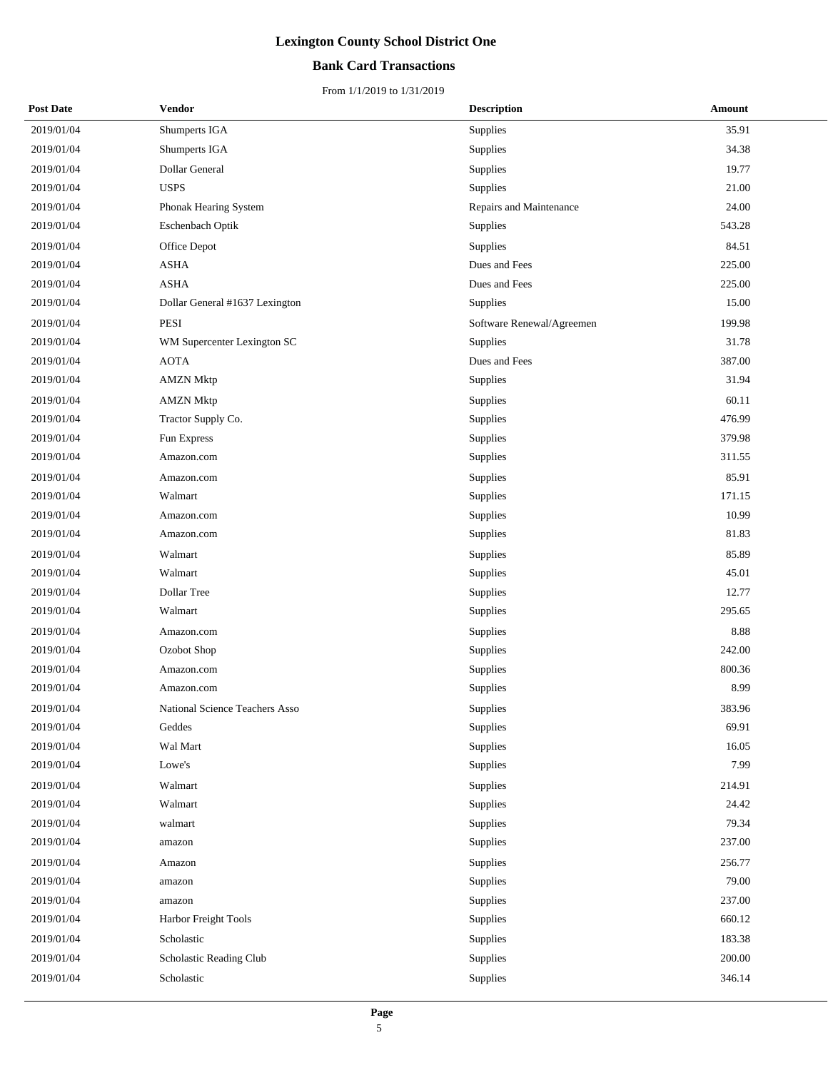### **Bank Card Transactions**

| <b>Post Date</b> | <b>Vendor</b>                  | <b>Description</b>        | Amount |
|------------------|--------------------------------|---------------------------|--------|
| 2019/01/04       | Shumperts IGA                  | Supplies                  | 35.91  |
| 2019/01/04       | Shumperts IGA                  | Supplies                  | 34.38  |
| 2019/01/04       | Dollar General                 | Supplies                  | 19.77  |
| 2019/01/04       | <b>USPS</b>                    | Supplies                  | 21.00  |
| 2019/01/04       | Phonak Hearing System          | Repairs and Maintenance   | 24.00  |
| 2019/01/04       | Eschenbach Optik               | Supplies                  | 543.28 |
| 2019/01/04       | Office Depot                   | Supplies                  | 84.51  |
| 2019/01/04       | <b>ASHA</b>                    | Dues and Fees             | 225.00 |
| 2019/01/04       | <b>ASHA</b>                    | Dues and Fees             | 225.00 |
| 2019/01/04       | Dollar General #1637 Lexington | Supplies                  | 15.00  |
| 2019/01/04       | PESI                           | Software Renewal/Agreemen | 199.98 |
| 2019/01/04       | WM Supercenter Lexington SC    | Supplies                  | 31.78  |
| 2019/01/04       | <b>AOTA</b>                    | Dues and Fees             | 387.00 |
| 2019/01/04       | <b>AMZN Mktp</b>               | Supplies                  | 31.94  |
| 2019/01/04       | <b>AMZN Mktp</b>               | Supplies                  | 60.11  |
| 2019/01/04       | Tractor Supply Co.             | Supplies                  | 476.99 |
| 2019/01/04       | Fun Express                    | Supplies                  | 379.98 |
| 2019/01/04       | Amazon.com                     | Supplies                  | 311.55 |
| 2019/01/04       | Amazon.com                     | Supplies                  | 85.91  |
| 2019/01/04       | Walmart                        | Supplies                  | 171.15 |
| 2019/01/04       | Amazon.com                     | Supplies                  | 10.99  |
| 2019/01/04       | Amazon.com                     | Supplies                  | 81.83  |
| 2019/01/04       | Walmart                        | Supplies                  | 85.89  |
| 2019/01/04       | Walmart                        | Supplies                  | 45.01  |
| 2019/01/04       | Dollar Tree                    | Supplies                  | 12.77  |
| 2019/01/04       | Walmart                        | Supplies                  | 295.65 |
| 2019/01/04       | Amazon.com                     | Supplies                  | 8.88   |
| 2019/01/04       | Ozobot Shop                    | Supplies                  | 242.00 |
| 2019/01/04       | Amazon.com                     | Supplies                  | 800.36 |
| 2019/01/04       | Amazon.com                     | Supplies                  | 8.99   |
| 2019/01/04       | National Science Teachers Asso | Supplies                  | 383.96 |
| 2019/01/04       | Geddes                         | Supplies                  | 69.91  |
| 2019/01/04       | Wal Mart                       | Supplies                  | 16.05  |
| 2019/01/04       | Lowe's                         | Supplies                  | 7.99   |
| 2019/01/04       | Walmart                        | Supplies                  | 214.91 |
| 2019/01/04       | Walmart                        | Supplies                  | 24.42  |
| 2019/01/04       | walmart                        | Supplies                  | 79.34  |
| 2019/01/04       | amazon                         | Supplies                  | 237.00 |
| 2019/01/04       | Amazon                         | Supplies                  | 256.77 |
| 2019/01/04       | amazon                         | Supplies                  | 79.00  |
| 2019/01/04       | amazon                         | Supplies                  | 237.00 |
| 2019/01/04       | Harbor Freight Tools           | Supplies                  | 660.12 |
| 2019/01/04       | Scholastic                     | Supplies                  | 183.38 |
| 2019/01/04       | Scholastic Reading Club        | Supplies                  | 200.00 |
| 2019/01/04       | Scholastic                     | Supplies                  | 346.14 |
|                  |                                |                           |        |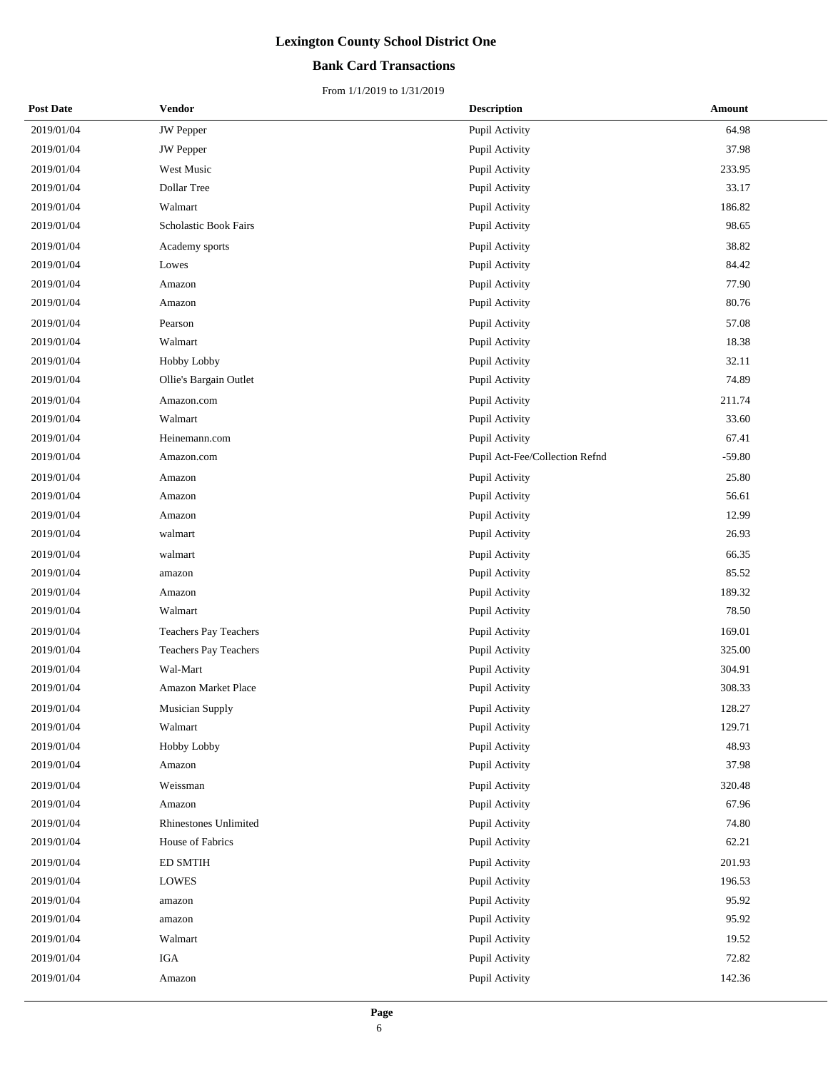### **Bank Card Transactions**

| <b>Post Date</b> | <b>Vendor</b>                | <b>Description</b>             | Amount   |
|------------------|------------------------------|--------------------------------|----------|
| 2019/01/04       | <b>JW</b> Pepper             | Pupil Activity                 | 64.98    |
| 2019/01/04       | JW Pepper                    | Pupil Activity                 | 37.98    |
| 2019/01/04       | West Music                   | Pupil Activity                 | 233.95   |
| 2019/01/04       | Dollar Tree                  | Pupil Activity                 | 33.17    |
| 2019/01/04       | Walmart                      | Pupil Activity                 | 186.82   |
| 2019/01/04       | Scholastic Book Fairs        | Pupil Activity                 | 98.65    |
| 2019/01/04       | Academy sports               | Pupil Activity                 | 38.82    |
| 2019/01/04       | Lowes                        | Pupil Activity                 | 84.42    |
| 2019/01/04       | Amazon                       | Pupil Activity                 | 77.90    |
| 2019/01/04       | Amazon                       | Pupil Activity                 | 80.76    |
| 2019/01/04       | Pearson                      | Pupil Activity                 | 57.08    |
| 2019/01/04       | Walmart                      | Pupil Activity                 | 18.38    |
| 2019/01/04       | Hobby Lobby                  | Pupil Activity                 | 32.11    |
| 2019/01/04       | Ollie's Bargain Outlet       | Pupil Activity                 | 74.89    |
| 2019/01/04       | Amazon.com                   | Pupil Activity                 | 211.74   |
| 2019/01/04       | Walmart                      | Pupil Activity                 | 33.60    |
| 2019/01/04       | Heinemann.com                | Pupil Activity                 | 67.41    |
| 2019/01/04       | Amazon.com                   | Pupil Act-Fee/Collection Refnd | $-59.80$ |
| 2019/01/04       | Amazon                       | Pupil Activity                 | 25.80    |
| 2019/01/04       | Amazon                       | Pupil Activity                 | 56.61    |
| 2019/01/04       | Amazon                       | Pupil Activity                 | 12.99    |
| 2019/01/04       | walmart                      | Pupil Activity                 | 26.93    |
| 2019/01/04       | walmart                      | Pupil Activity                 | 66.35    |
| 2019/01/04       | amazon                       | Pupil Activity                 | 85.52    |
| 2019/01/04       | Amazon                       | Pupil Activity                 | 189.32   |
| 2019/01/04       | Walmart                      | Pupil Activity                 | 78.50    |
| 2019/01/04       | Teachers Pay Teachers        | Pupil Activity                 | 169.01   |
| 2019/01/04       | Teachers Pay Teachers        | Pupil Activity                 | 325.00   |
| 2019/01/04       | Wal-Mart                     | Pupil Activity                 | 304.91   |
| 2019/01/04       | Amazon Market Place          | Pupil Activity                 | 308.33   |
| 2019/01/04       | Musician Supply              | Pupil Activity                 | 128.27   |
| 2019/01/04       | Walmart                      | Pupil Activity                 | 129.71   |
| 2019/01/04       | Hobby Lobby                  | Pupil Activity                 | 48.93    |
| 2019/01/04       | Amazon                       | Pupil Activity                 | 37.98    |
| 2019/01/04       | Weissman                     | Pupil Activity                 | 320.48   |
| 2019/01/04       | Amazon                       | Pupil Activity                 | 67.96    |
| 2019/01/04       | <b>Rhinestones Unlimited</b> | Pupil Activity                 | 74.80    |
| 2019/01/04       | House of Fabrics             | Pupil Activity                 | 62.21    |
| 2019/01/04       | <b>ED SMTIH</b>              | Pupil Activity                 | 201.93   |
| 2019/01/04       | <b>LOWES</b>                 | Pupil Activity                 | 196.53   |
| 2019/01/04       | amazon                       | Pupil Activity                 | 95.92    |
| 2019/01/04       | amazon                       | Pupil Activity                 | 95.92    |
| 2019/01/04       | Walmart                      | Pupil Activity                 | 19.52    |
| 2019/01/04       | IGA                          | Pupil Activity                 | 72.82    |
| 2019/01/04       | Amazon                       | Pupil Activity                 | 142.36   |
|                  |                              |                                |          |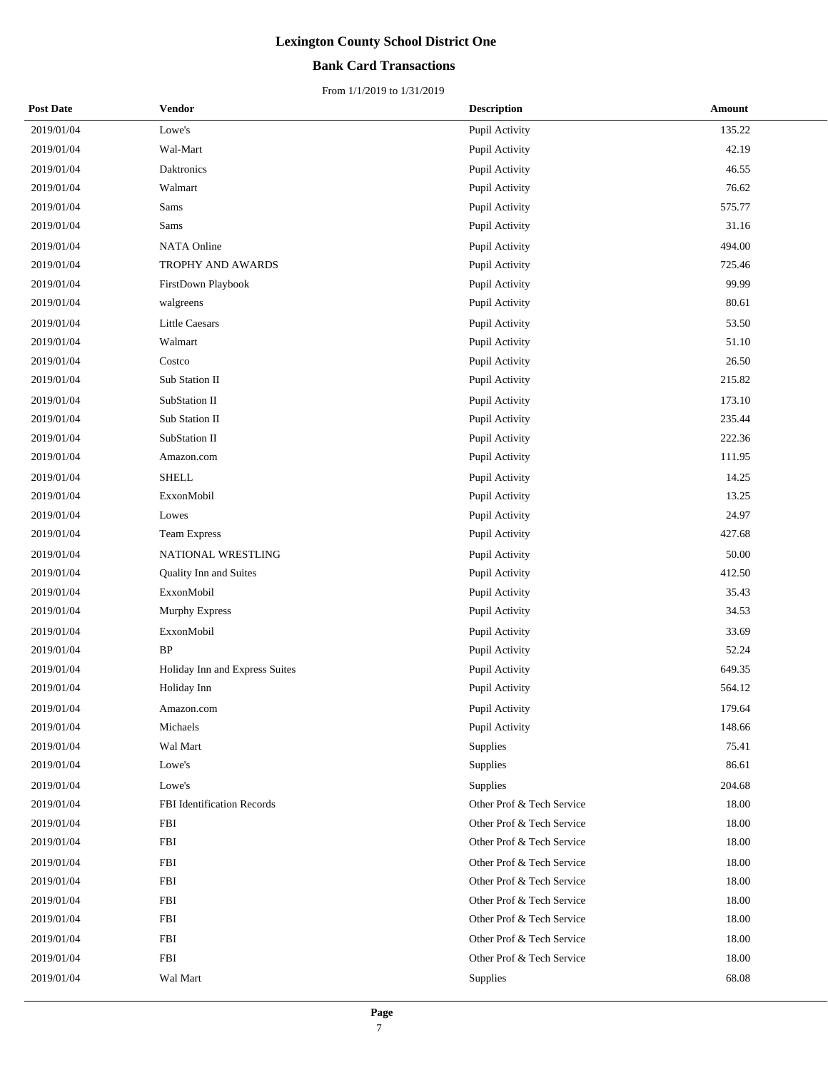### **Bank Card Transactions**

| <b>Post Date</b> | <b>Vendor</b>                  | <b>Description</b>        | <b>Amount</b> |
|------------------|--------------------------------|---------------------------|---------------|
| 2019/01/04       | Lowe's                         | Pupil Activity            | 135.22        |
| 2019/01/04       | Wal-Mart                       | Pupil Activity            | 42.19         |
| 2019/01/04       | Daktronics                     | Pupil Activity            | 46.55         |
| 2019/01/04       | Walmart                        | Pupil Activity            | 76.62         |
| 2019/01/04       | Sams                           | Pupil Activity            | 575.77        |
| 2019/01/04       | Sams                           | Pupil Activity            | 31.16         |
| 2019/01/04       | NATA Online                    | Pupil Activity            | 494.00        |
| 2019/01/04       | TROPHY AND AWARDS              | Pupil Activity            | 725.46        |
| 2019/01/04       | FirstDown Playbook             | Pupil Activity            | 99.99         |
| 2019/01/04       | walgreens                      | Pupil Activity            | 80.61         |
| 2019/01/04       | <b>Little Caesars</b>          | Pupil Activity            | 53.50         |
| 2019/01/04       | Walmart                        | Pupil Activity            | 51.10         |
| 2019/01/04       | Costco                         | Pupil Activity            | 26.50         |
| 2019/01/04       | Sub Station II                 | Pupil Activity            | 215.82        |
| 2019/01/04       | SubStation II                  | Pupil Activity            | 173.10        |
| 2019/01/04       | Sub Station II                 | Pupil Activity            | 235.44        |
| 2019/01/04       | SubStation II                  | Pupil Activity            | 222.36        |
| 2019/01/04       | Amazon.com                     | Pupil Activity            | 111.95        |
| 2019/01/04       | <b>SHELL</b>                   | Pupil Activity            | 14.25         |
| 2019/01/04       | ExxonMobil                     | Pupil Activity            | 13.25         |
| 2019/01/04       | Lowes                          | Pupil Activity            | 24.97         |
| 2019/01/04       | <b>Team Express</b>            | Pupil Activity            | 427.68        |
| 2019/01/04       | <b>NATIONAL WRESTLING</b>      | Pupil Activity            | 50.00         |
| 2019/01/04       | Quality Inn and Suites         | Pupil Activity            | 412.50        |
| 2019/01/04       | ExxonMobil                     | Pupil Activity            | 35.43         |
| 2019/01/04       | Murphy Express                 | Pupil Activity            | 34.53         |
| 2019/01/04       | ExxonMobil                     | Pupil Activity            | 33.69         |
| 2019/01/04       | <b>BP</b>                      | Pupil Activity            | 52.24         |
| 2019/01/04       | Holiday Inn and Express Suites | Pupil Activity            | 649.35        |
| 2019/01/04       | Holiday Inn                    | Pupil Activity            | 564.12        |
| 2019/01/04       | Amazon.com                     | Pupil Activity            | 179.64        |
| 2019/01/04       | Michaels                       | <b>Pupil Activity</b>     | 148.66        |
| 2019/01/04       | Wal Mart                       | Supplies                  | 75.41         |
| 2019/01/04       | Lowe's                         | Supplies                  | 86.61         |
| 2019/01/04       | Lowe's                         | Supplies                  | 204.68        |
| 2019/01/04       | FBI Identification Records     | Other Prof & Tech Service | 18.00         |
| 2019/01/04       | <b>FBI</b>                     | Other Prof & Tech Service | 18.00         |
| 2019/01/04       | FBI                            | Other Prof & Tech Service | 18.00         |
| 2019/01/04       | FBI                            | Other Prof & Tech Service | 18.00         |
| 2019/01/04       | <b>FBI</b>                     | Other Prof & Tech Service | 18.00         |
| 2019/01/04       | <b>FBI</b>                     | Other Prof & Tech Service | 18.00         |
| 2019/01/04       | FBI                            | Other Prof & Tech Service | 18.00         |
| 2019/01/04       | FBI                            | Other Prof & Tech Service | 18.00         |
| 2019/01/04       | FBI                            | Other Prof & Tech Service | 18.00         |
| 2019/01/04       | Wal Mart                       | Supplies                  | 68.08         |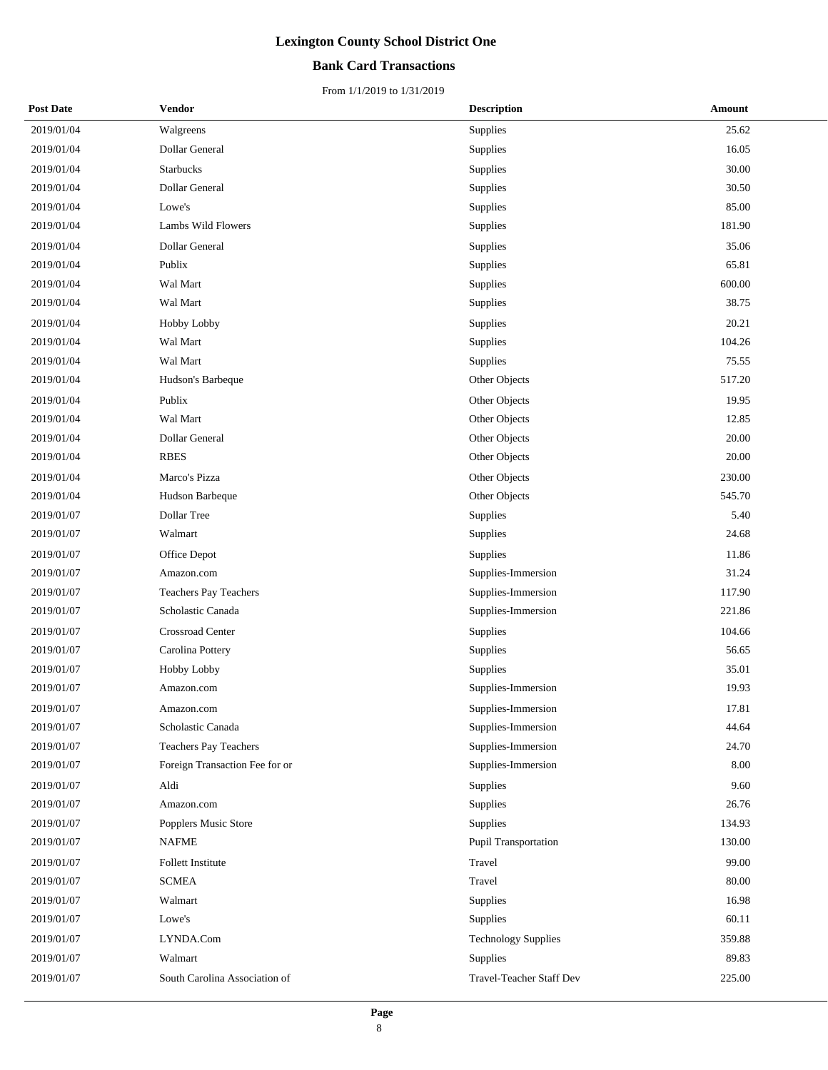### **Bank Card Transactions**

| <b>Post Date</b> | <b>Vendor</b>                  | <b>Description</b>         | <b>Amount</b> |
|------------------|--------------------------------|----------------------------|---------------|
| 2019/01/04       | Walgreens                      | Supplies                   | 25.62         |
| 2019/01/04       | Dollar General                 | Supplies                   | 16.05         |
| 2019/01/04       | <b>Starbucks</b>               | Supplies                   | 30.00         |
| 2019/01/04       | <b>Dollar General</b>          | Supplies                   | 30.50         |
| 2019/01/04       | Lowe's                         | Supplies                   | 85.00         |
| 2019/01/04       | Lambs Wild Flowers             | Supplies                   | 181.90        |
| 2019/01/04       | Dollar General                 | Supplies                   | 35.06         |
| 2019/01/04       | Publix                         | Supplies                   | 65.81         |
| 2019/01/04       | Wal Mart                       | Supplies                   | 600.00        |
| 2019/01/04       | Wal Mart                       | Supplies                   | 38.75         |
| 2019/01/04       | Hobby Lobby                    | Supplies                   | 20.21         |
| 2019/01/04       | Wal Mart                       | Supplies                   | 104.26        |
| 2019/01/04       | Wal Mart                       | Supplies                   | 75.55         |
| 2019/01/04       | Hudson's Barbeque              | Other Objects              | 517.20        |
| 2019/01/04       | Publix                         | Other Objects              | 19.95         |
| 2019/01/04       | Wal Mart                       | Other Objects              | 12.85         |
| 2019/01/04       | Dollar General                 | Other Objects              | 20.00         |
| 2019/01/04       | <b>RBES</b>                    | Other Objects              | 20.00         |
| 2019/01/04       | Marco's Pizza                  | Other Objects              | 230.00        |
| 2019/01/04       | Hudson Barbeque                | Other Objects              | 545.70        |
| 2019/01/07       | Dollar Tree                    | Supplies                   | 5.40          |
| 2019/01/07       | Walmart                        | Supplies                   | 24.68         |
| 2019/01/07       | Office Depot                   | Supplies                   | 11.86         |
| 2019/01/07       | Amazon.com                     | Supplies-Immersion         | 31.24         |
| 2019/01/07       | Teachers Pay Teachers          | Supplies-Immersion         | 117.90        |
| 2019/01/07       | Scholastic Canada              | Supplies-Immersion         | 221.86        |
| 2019/01/07       | Crossroad Center               | Supplies                   | 104.66        |
| 2019/01/07       | Carolina Pottery               | Supplies                   | 56.65         |
| 2019/01/07       | Hobby Lobby                    | Supplies                   | 35.01         |
| 2019/01/07       | Amazon.com                     | Supplies-Immersion         | 19.93         |
| 2019/01/07       | Amazon.com                     | Supplies-Immersion         | 17.81         |
| 2019/01/07       | Scholastic Canada              | Supplies-Immersion         | 44.64         |
| 2019/01/07       | Teachers Pay Teachers          | Supplies-Immersion         | 24.70         |
| 2019/01/07       | Foreign Transaction Fee for or | Supplies-Immersion         | 8.00          |
| 2019/01/07       | Aldi                           | Supplies                   | 9.60          |
| 2019/01/07       | Amazon.com                     | Supplies                   | 26.76         |
| 2019/01/07       | Popplers Music Store           | Supplies                   | 134.93        |
| 2019/01/07       | NAFME                          | Pupil Transportation       | 130.00        |
| 2019/01/07       | <b>Follett Institute</b>       | Travel                     | 99.00         |
| 2019/01/07       | <b>SCMEA</b>                   | Travel                     | 80.00         |
| 2019/01/07       | Walmart                        | Supplies                   | 16.98         |
| 2019/01/07       | Lowe's                         | Supplies                   | 60.11         |
| 2019/01/07       | LYNDA.Com                      | <b>Technology Supplies</b> | 359.88        |
| 2019/01/07       | Walmart                        | Supplies                   | 89.83         |
| 2019/01/07       | South Carolina Association of  | Travel-Teacher Staff Dev   | 225.00        |
|                  |                                |                            |               |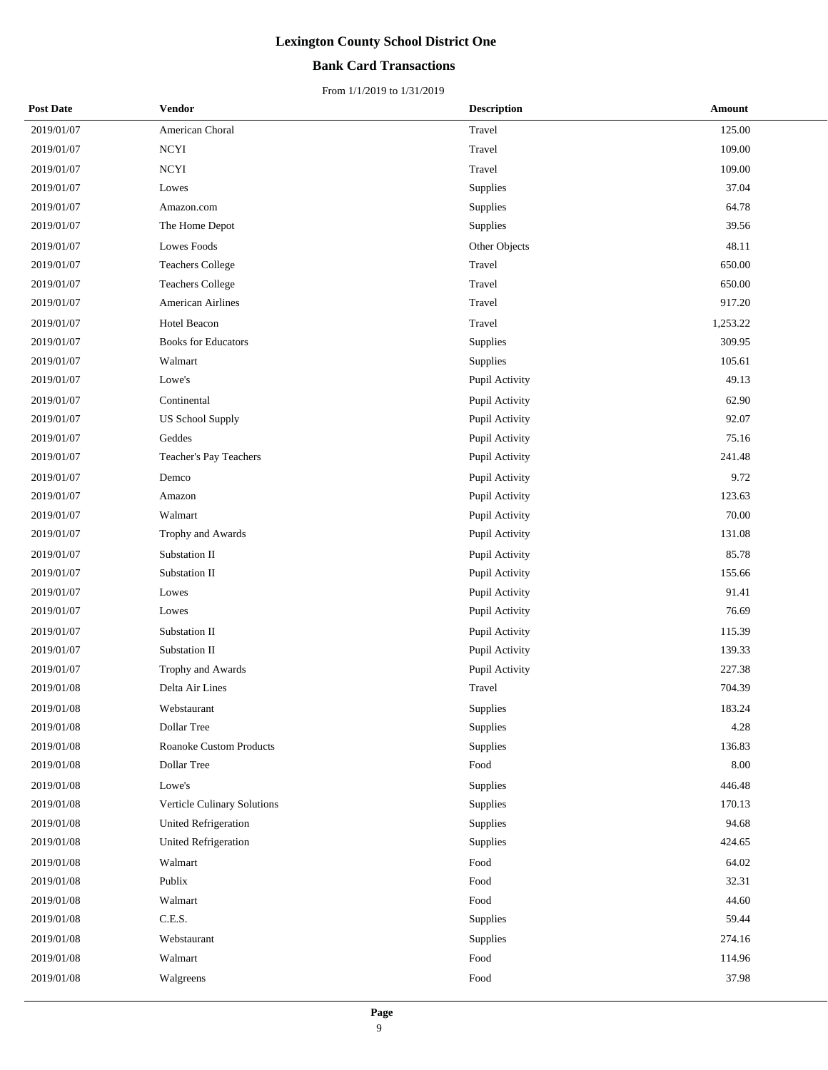### **Bank Card Transactions**

| <b>Post Date</b> | <b>Vendor</b>                  | <b>Description</b> | Amount   |
|------------------|--------------------------------|--------------------|----------|
| 2019/01/07       | American Choral                | Travel             | 125.00   |
| 2019/01/07       | <b>NCYI</b>                    | Travel             | 109.00   |
| 2019/01/07       | <b>NCYI</b>                    | Travel             | 109.00   |
| 2019/01/07       | Lowes                          | Supplies           | 37.04    |
| 2019/01/07       | Amazon.com                     | Supplies           | 64.78    |
| 2019/01/07       | The Home Depot                 | Supplies           | 39.56    |
| 2019/01/07       | Lowes Foods                    | Other Objects      | 48.11    |
| 2019/01/07       | <b>Teachers College</b>        | Travel             | 650.00   |
| 2019/01/07       | <b>Teachers College</b>        | Travel             | 650.00   |
| 2019/01/07       | American Airlines              | Travel             | 917.20   |
| 2019/01/07       | Hotel Beacon                   | Travel             | 1,253.22 |
| 2019/01/07       | <b>Books for Educators</b>     | Supplies           | 309.95   |
| 2019/01/07       | Walmart                        | Supplies           | 105.61   |
| 2019/01/07       | Lowe's                         | Pupil Activity     | 49.13    |
| 2019/01/07       | Continental                    | Pupil Activity     | 62.90    |
| 2019/01/07       | <b>US School Supply</b>        | Pupil Activity     | 92.07    |
| 2019/01/07       | Geddes                         | Pupil Activity     | 75.16    |
| 2019/01/07       | Teacher's Pay Teachers         | Pupil Activity     | 241.48   |
| 2019/01/07       | Demco                          | Pupil Activity     | 9.72     |
| 2019/01/07       | Amazon                         | Pupil Activity     | 123.63   |
| 2019/01/07       | Walmart                        | Pupil Activity     | 70.00    |
| 2019/01/07       | Trophy and Awards              | Pupil Activity     | 131.08   |
| 2019/01/07       | Substation II                  | Pupil Activity     | 85.78    |
| 2019/01/07       | Substation II                  | Pupil Activity     | 155.66   |
| 2019/01/07       | Lowes                          | Pupil Activity     | 91.41    |
| 2019/01/07       | Lowes                          | Pupil Activity     | 76.69    |
| 2019/01/07       | Substation II                  | Pupil Activity     | 115.39   |
| 2019/01/07       | Substation II                  | Pupil Activity     | 139.33   |
| 2019/01/07       | Trophy and Awards              | Pupil Activity     | 227.38   |
| 2019/01/08       | Delta Air Lines                | Travel             | 704.39   |
| 2019/01/08       | Webstaurant                    | Supplies           | 183.24   |
| 2019/01/08       | Dollar Tree                    | Supplies           | 4.28     |
| 2019/01/08       | <b>Roanoke Custom Products</b> | Supplies           | 136.83   |
| 2019/01/08       | Dollar Tree                    | Food               | 8.00     |
| 2019/01/08       | Lowe's                         | Supplies           | 446.48   |
| 2019/01/08       | Verticle Culinary Solutions    | Supplies           | 170.13   |
| 2019/01/08       | <b>United Refrigeration</b>    | Supplies           | 94.68    |
| 2019/01/08       | United Refrigeration           | Supplies           | 424.65   |
| 2019/01/08       | Walmart                        | Food               | 64.02    |
| 2019/01/08       | Publix                         | Food               | 32.31    |
| 2019/01/08       | Walmart                        | Food               | 44.60    |
| 2019/01/08       | C.E.S.                         | Supplies           | 59.44    |
| 2019/01/08       | Webstaurant                    | Supplies           | 274.16   |
| 2019/01/08       | Walmart                        | Food               | 114.96   |
| 2019/01/08       | Walgreens                      | Food               | 37.98    |
|                  |                                |                    |          |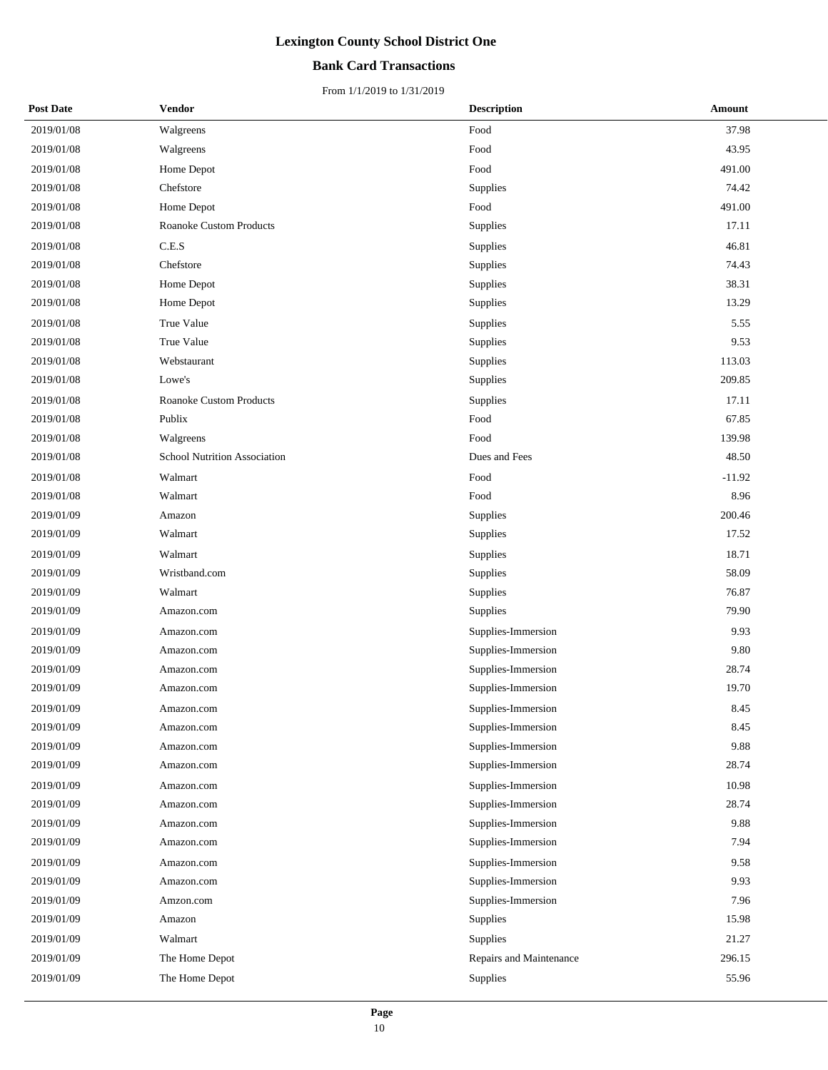### **Bank Card Transactions**

| <b>Post Date</b> | <b>Vendor</b>                  | <b>Description</b>      | Amount   |  |
|------------------|--------------------------------|-------------------------|----------|--|
| 2019/01/08       | Walgreens                      | Food                    | 37.98    |  |
| 2019/01/08       | Walgreens                      | Food                    | 43.95    |  |
| 2019/01/08       | Home Depot                     | Food                    | 491.00   |  |
| 2019/01/08       | Chefstore                      | Supplies                | 74.42    |  |
| 2019/01/08       | Home Depot                     | Food                    | 491.00   |  |
| 2019/01/08       | <b>Roanoke Custom Products</b> | Supplies                | 17.11    |  |
| 2019/01/08       | C.E.S                          | Supplies                | 46.81    |  |
| 2019/01/08       | Chefstore                      | Supplies                | 74.43    |  |
| 2019/01/08       | Home Depot                     | Supplies                | 38.31    |  |
| 2019/01/08       | Home Depot                     | Supplies                | 13.29    |  |
| 2019/01/08       | True Value                     | Supplies                | 5.55     |  |
| 2019/01/08       | True Value                     | Supplies                | 9.53     |  |
| 2019/01/08       | Webstaurant                    | Supplies                | 113.03   |  |
| 2019/01/08       | Lowe's                         | Supplies                | 209.85   |  |
| 2019/01/08       | <b>Roanoke Custom Products</b> | Supplies                | 17.11    |  |
| 2019/01/08       | Publix                         | Food                    | 67.85    |  |
| 2019/01/08       | Walgreens                      | Food                    | 139.98   |  |
| 2019/01/08       | School Nutrition Association   | Dues and Fees           | 48.50    |  |
| 2019/01/08       | Walmart                        | Food                    | $-11.92$ |  |
| 2019/01/08       | Walmart                        | Food                    | 8.96     |  |
| 2019/01/09       | Amazon                         | Supplies                | 200.46   |  |
| 2019/01/09       | Walmart                        | Supplies                | 17.52    |  |
| 2019/01/09       | Walmart                        | Supplies                | 18.71    |  |
| 2019/01/09       | Wristband.com                  | Supplies                | 58.09    |  |
| 2019/01/09       | Walmart                        | Supplies                | 76.87    |  |
| 2019/01/09       | Amazon.com                     | Supplies                | 79.90    |  |
| 2019/01/09       | Amazon.com                     | Supplies-Immersion      | 9.93     |  |
| 2019/01/09       | Amazon.com                     | Supplies-Immersion      | 9.80     |  |
| 2019/01/09       | Amazon.com                     | Supplies-Immersion      | 28.74    |  |
| 2019/01/09       | Amazon.com                     | Supplies-Immersion      | 19.70    |  |
| 2019/01/09       | Amazon.com                     | Supplies-Immersion      | 8.45     |  |
| 2019/01/09       | Amazon.com                     | Supplies-Immersion      | 8.45     |  |
| 2019/01/09       | Amazon.com                     | Supplies-Immersion      | 9.88     |  |
| 2019/01/09       | Amazon.com                     | Supplies-Immersion      | 28.74    |  |
| 2019/01/09       | Amazon.com                     | Supplies-Immersion      | 10.98    |  |
| 2019/01/09       | Amazon.com                     | Supplies-Immersion      | 28.74    |  |
| 2019/01/09       | Amazon.com                     | Supplies-Immersion      | 9.88     |  |
| 2019/01/09       | Amazon.com                     | Supplies-Immersion      | 7.94     |  |
| 2019/01/09       | Amazon.com                     | Supplies-Immersion      | 9.58     |  |
| 2019/01/09       | Amazon.com                     | Supplies-Immersion      | 9.93     |  |
| 2019/01/09       | Amzon.com                      | Supplies-Immersion      | 7.96     |  |
| 2019/01/09       | Amazon                         | Supplies                | 15.98    |  |
| 2019/01/09       | Walmart                        | Supplies                | 21.27    |  |
| 2019/01/09       | The Home Depot                 | Repairs and Maintenance | 296.15   |  |
| 2019/01/09       | The Home Depot                 | Supplies                | 55.96    |  |
|                  |                                |                         |          |  |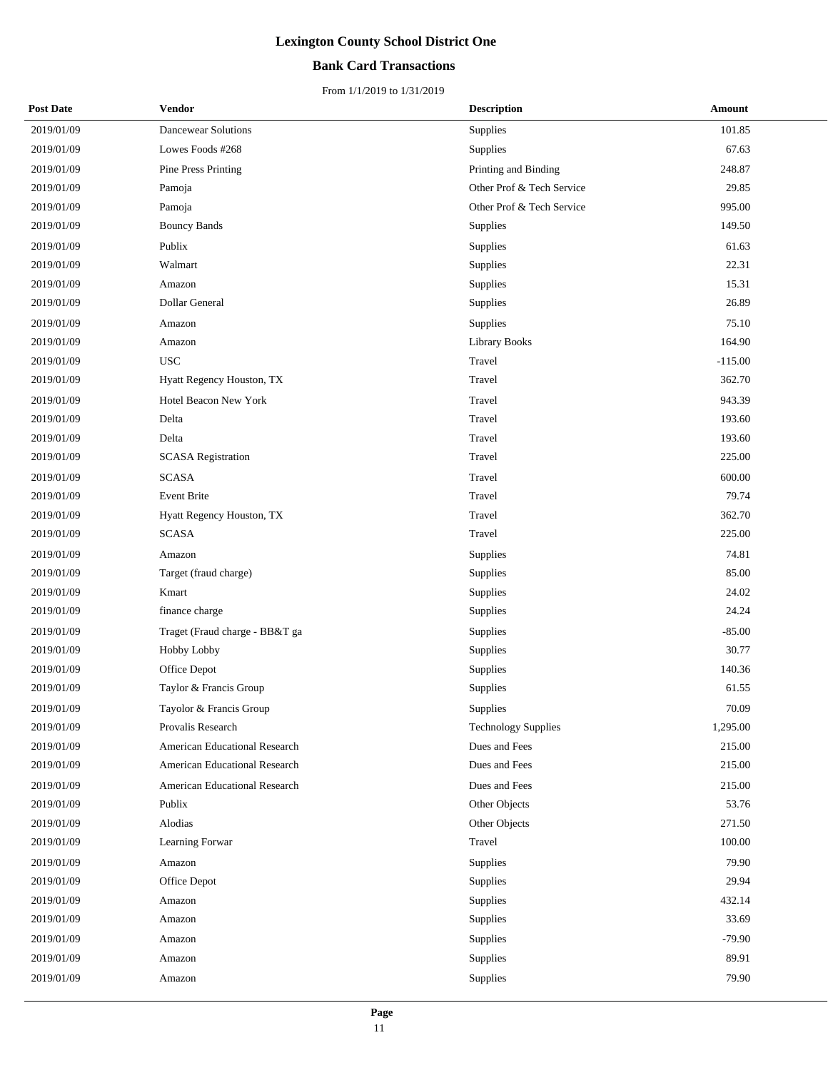### **Bank Card Transactions**

| <b>Post Date</b> | Vendor                         | <b>Description</b>         | Amount    |
|------------------|--------------------------------|----------------------------|-----------|
| 2019/01/09       | <b>Dancewear Solutions</b>     | Supplies                   | 101.85    |
| 2019/01/09       | Lowes Foods #268               | Supplies                   | 67.63     |
| 2019/01/09       | <b>Pine Press Printing</b>     | Printing and Binding       | 248.87    |
| 2019/01/09       | Pamoja                         | Other Prof & Tech Service  | 29.85     |
| 2019/01/09       | Pamoja                         | Other Prof & Tech Service  | 995.00    |
| 2019/01/09       | <b>Bouncy Bands</b>            | Supplies                   | 149.50    |
| 2019/01/09       | Publix                         | Supplies                   | 61.63     |
| 2019/01/09       | Walmart                        | Supplies                   | 22.31     |
| 2019/01/09       | Amazon                         | Supplies                   | 15.31     |
| 2019/01/09       | Dollar General                 | Supplies                   | 26.89     |
| 2019/01/09       | Amazon                         | Supplies                   | 75.10     |
| 2019/01/09       | Amazon                         | <b>Library Books</b>       | 164.90    |
| 2019/01/09       | <b>USC</b>                     | Travel                     | $-115.00$ |
| 2019/01/09       | Hyatt Regency Houston, TX      | Travel                     | 362.70    |
| 2019/01/09       | Hotel Beacon New York          | Travel                     | 943.39    |
| 2019/01/09       | Delta                          | Travel                     | 193.60    |
| 2019/01/09       | Delta                          | Travel                     | 193.60    |
| 2019/01/09       | <b>SCASA</b> Registration      | Travel                     | 225.00    |
| 2019/01/09       | <b>SCASA</b>                   | Travel                     | 600.00    |
| 2019/01/09       | Event Brite                    | Travel                     | 79.74     |
| 2019/01/09       | Hyatt Regency Houston, TX      | Travel                     | 362.70    |
| 2019/01/09       | <b>SCASA</b>                   | Travel                     | 225.00    |
| 2019/01/09       | Amazon                         | Supplies                   | 74.81     |
| 2019/01/09       | Target (fraud charge)          | Supplies                   | 85.00     |
| 2019/01/09       | Kmart                          | Supplies                   | 24.02     |
| 2019/01/09       | finance charge                 | Supplies                   | 24.24     |
| 2019/01/09       | Traget (Fraud charge - BB&T ga | Supplies                   | $-85.00$  |
| 2019/01/09       | Hobby Lobby                    | Supplies                   | 30.77     |
| 2019/01/09       | Office Depot                   | Supplies                   | 140.36    |
| 2019/01/09       | Taylor & Francis Group         | Supplies                   | 61.55     |
| 2019/01/09       | Tayolor & Francis Group        | Supplies                   | 70.09     |
| 2019/01/09       | Provalis Research              | <b>Technology Supplies</b> | 1,295.00  |
| 2019/01/09       | American Educational Research  | Dues and Fees              | 215.00    |
| 2019/01/09       | American Educational Research  | Dues and Fees              | 215.00    |
| 2019/01/09       | American Educational Research  | Dues and Fees              | 215.00    |
| 2019/01/09       | Publix                         | Other Objects              | 53.76     |
| 2019/01/09       | Alodias                        | Other Objects              | 271.50    |
| 2019/01/09       | Learning Forwar                | Travel                     | 100.00    |
| 2019/01/09       | Amazon                         | Supplies                   | 79.90     |
| 2019/01/09       | Office Depot                   | Supplies                   | 29.94     |
| 2019/01/09       | Amazon                         | Supplies                   | 432.14    |
| 2019/01/09       | Amazon                         | Supplies                   | 33.69     |
| 2019/01/09       | Amazon                         | Supplies                   | $-79.90$  |
| 2019/01/09       | Amazon                         | Supplies                   | 89.91     |
| 2019/01/09       | Amazon                         | Supplies                   | 79.90     |
|                  |                                |                            |           |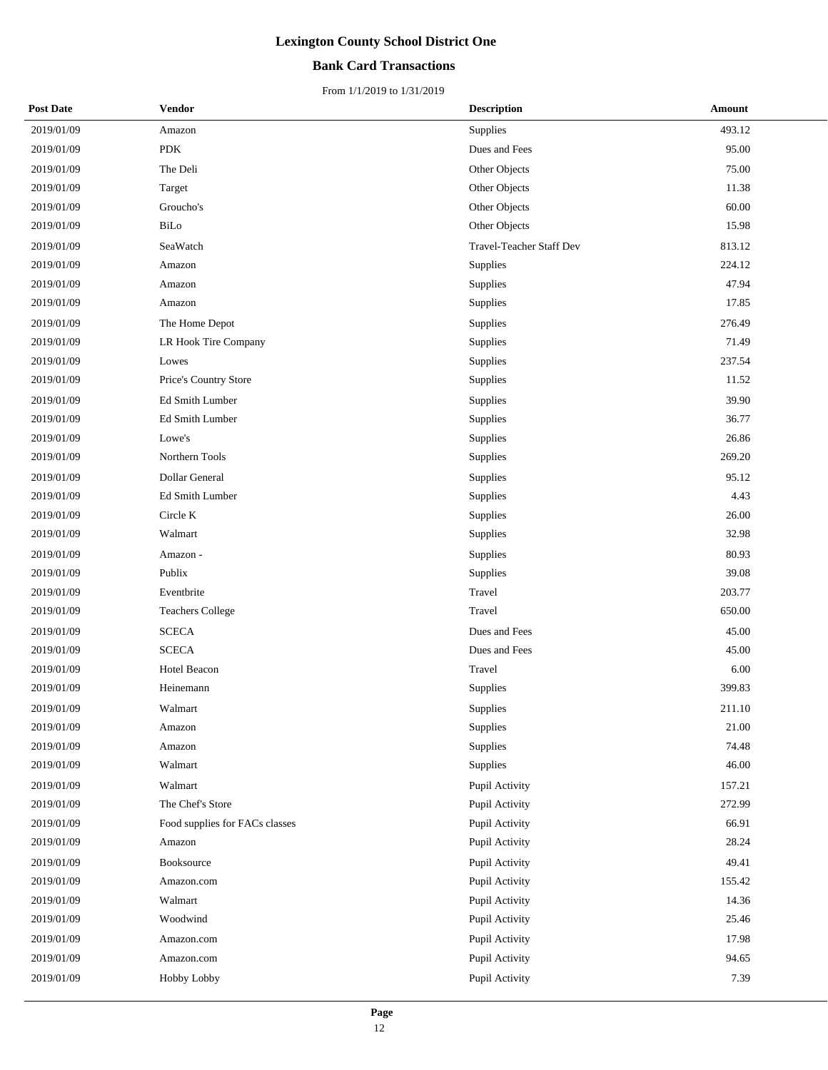### **Bank Card Transactions**

| <b>Post Date</b> | <b>Vendor</b>                  | <b>Description</b>       | Amount |
|------------------|--------------------------------|--------------------------|--------|
| 2019/01/09       | Amazon                         | Supplies                 | 493.12 |
| 2019/01/09       | <b>PDK</b>                     | Dues and Fees            | 95.00  |
| 2019/01/09       | The Deli                       | Other Objects            | 75.00  |
| 2019/01/09       | Target                         | Other Objects            | 11.38  |
| 2019/01/09       | Groucho's                      | Other Objects            | 60.00  |
| 2019/01/09       | BiLo                           | Other Objects            | 15.98  |
| 2019/01/09       | SeaWatch                       | Travel-Teacher Staff Dev | 813.12 |
| 2019/01/09       | Amazon                         | Supplies                 | 224.12 |
| 2019/01/09       | Amazon                         | Supplies                 | 47.94  |
| 2019/01/09       | Amazon                         | Supplies                 | 17.85  |
| 2019/01/09       | The Home Depot                 | Supplies                 | 276.49 |
| 2019/01/09       | LR Hook Tire Company           | Supplies                 | 71.49  |
| 2019/01/09       | Lowes                          | Supplies                 | 237.54 |
| 2019/01/09       | Price's Country Store          | Supplies                 | 11.52  |
| 2019/01/09       | Ed Smith Lumber                | Supplies                 | 39.90  |
| 2019/01/09       | Ed Smith Lumber                | Supplies                 | 36.77  |
| 2019/01/09       | Lowe's                         | Supplies                 | 26.86  |
| 2019/01/09       | Northern Tools                 | Supplies                 | 269.20 |
| 2019/01/09       | Dollar General                 | Supplies                 | 95.12  |
| 2019/01/09       | Ed Smith Lumber                | Supplies                 | 4.43   |
| 2019/01/09       | Circle K                       | Supplies                 | 26.00  |
| 2019/01/09       | Walmart                        | Supplies                 | 32.98  |
| 2019/01/09       | Amazon -                       | Supplies                 | 80.93  |
| 2019/01/09       | Publix                         | Supplies                 | 39.08  |
| 2019/01/09       | Eventbrite                     | Travel                   | 203.77 |
| 2019/01/09       | <b>Teachers College</b>        | Travel                   | 650.00 |
| 2019/01/09       | <b>SCECA</b>                   | Dues and Fees            | 45.00  |
| 2019/01/09       | <b>SCECA</b>                   | Dues and Fees            | 45.00  |
| 2019/01/09       | Hotel Beacon                   | Travel                   | 6.00   |
| 2019/01/09       | Heinemann                      | Supplies                 | 399.83 |
| 2019/01/09       | Walmart                        | Supplies                 | 211.10 |
| 2019/01/09       | Amazon                         | Supplies                 | 21.00  |
| 2019/01/09       | Amazon                         | Supplies                 | 74.48  |
| 2019/01/09       | Walmart                        | Supplies                 | 46.00  |
| 2019/01/09       | Walmart                        | Pupil Activity           | 157.21 |
| 2019/01/09       | The Chef's Store               | Pupil Activity           | 272.99 |
| 2019/01/09       | Food supplies for FACs classes | Pupil Activity           | 66.91  |
| 2019/01/09       | Amazon                         | Pupil Activity           | 28.24  |
| 2019/01/09       | Booksource                     | Pupil Activity           | 49.41  |
| 2019/01/09       | Amazon.com                     | Pupil Activity           | 155.42 |
| 2019/01/09       | Walmart                        | Pupil Activity           | 14.36  |
| 2019/01/09       | Woodwind                       | Pupil Activity           | 25.46  |
| 2019/01/09       | Amazon.com                     | Pupil Activity           | 17.98  |
| 2019/01/09       | Amazon.com                     | Pupil Activity           | 94.65  |
| 2019/01/09       | Hobby Lobby                    | Pupil Activity           | 7.39   |
|                  |                                |                          |        |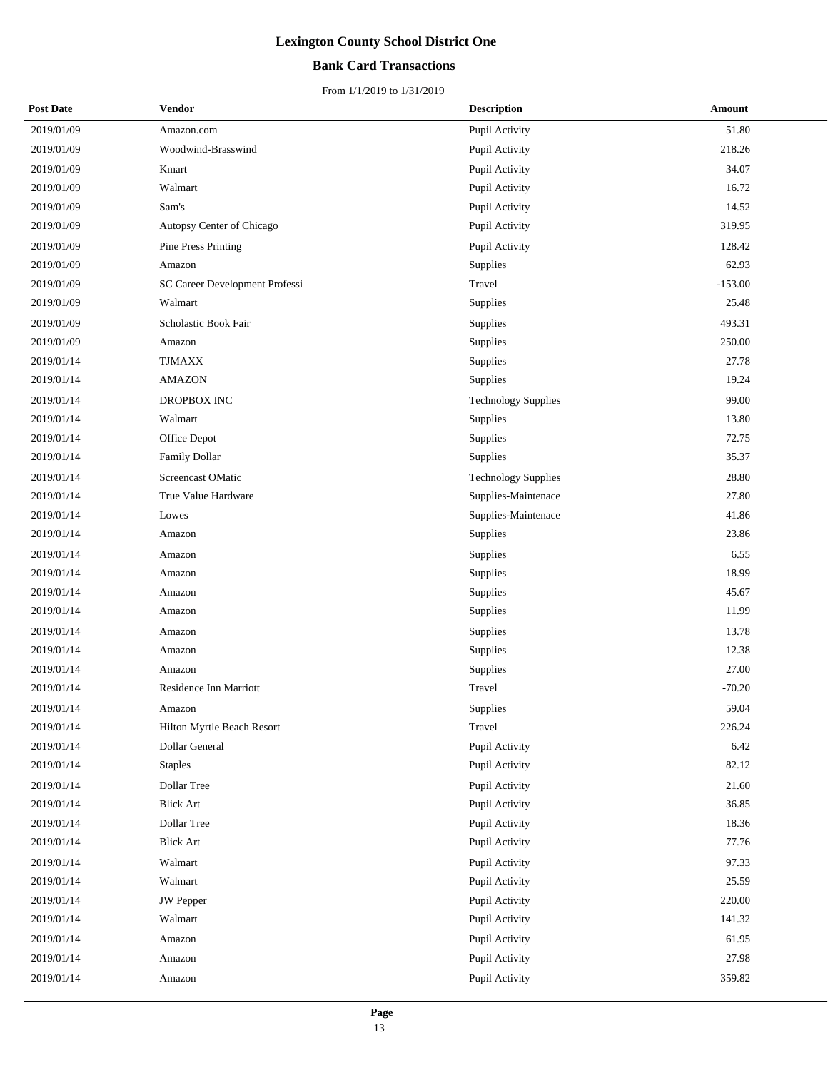### **Bank Card Transactions**

| <b>Post Date</b> | <b>Vendor</b>                  | <b>Description</b>         | Amount    |
|------------------|--------------------------------|----------------------------|-----------|
| 2019/01/09       | Amazon.com                     | Pupil Activity             | 51.80     |
| 2019/01/09       | Woodwind-Brasswind             | Pupil Activity             | 218.26    |
| 2019/01/09       | Kmart                          | Pupil Activity             | 34.07     |
| 2019/01/09       | Walmart                        | Pupil Activity             | 16.72     |
| 2019/01/09       | Sam's                          | Pupil Activity             | 14.52     |
| 2019/01/09       | Autopsy Center of Chicago      | Pupil Activity             | 319.95    |
| 2019/01/09       | Pine Press Printing            | Pupil Activity             | 128.42    |
| 2019/01/09       | Amazon                         | Supplies                   | 62.93     |
| 2019/01/09       | SC Career Development Professi | Travel                     | $-153.00$ |
| 2019/01/09       | Walmart                        | Supplies                   | 25.48     |
| 2019/01/09       | Scholastic Book Fair           | Supplies                   | 493.31    |
| 2019/01/09       | Amazon                         | Supplies                   | 250.00    |
| 2019/01/14       | <b>TJMAXX</b>                  | Supplies                   | 27.78     |
| 2019/01/14       | <b>AMAZON</b>                  | Supplies                   | 19.24     |
| 2019/01/14       | DROPBOX INC                    | <b>Technology Supplies</b> | 99.00     |
| 2019/01/14       | Walmart                        | Supplies                   | 13.80     |
| 2019/01/14       | Office Depot                   | Supplies                   | 72.75     |
| 2019/01/14       | Family Dollar                  | Supplies                   | 35.37     |
| 2019/01/14       | Screencast OMatic              | <b>Technology Supplies</b> | 28.80     |
| 2019/01/14       | True Value Hardware            | Supplies-Maintenace        | 27.80     |
| 2019/01/14       | Lowes                          | Supplies-Maintenace        | 41.86     |
| 2019/01/14       | Amazon                         | Supplies                   | 23.86     |
| 2019/01/14       | Amazon                         | Supplies                   | 6.55      |
| 2019/01/14       | Amazon                         | Supplies                   | 18.99     |
| 2019/01/14       | Amazon                         | Supplies                   | 45.67     |
| 2019/01/14       | Amazon                         | Supplies                   | 11.99     |
| 2019/01/14       | Amazon                         | Supplies                   | 13.78     |
| 2019/01/14       | Amazon                         | Supplies                   | 12.38     |
| 2019/01/14       | Amazon                         | Supplies                   | 27.00     |
| 2019/01/14       | Residence Inn Marriott         | Travel                     | $-70.20$  |
| 2019/01/14       | Amazon                         | Supplies                   | 59.04     |
| 2019/01/14       | Hilton Myrtle Beach Resort     | Travel                     | 226.24    |
| 2019/01/14       | Dollar General                 | Pupil Activity             | 6.42      |
| 2019/01/14       | <b>Staples</b>                 | Pupil Activity             | 82.12     |
| 2019/01/14       | Dollar Tree                    | Pupil Activity             | 21.60     |
| 2019/01/14       | <b>Blick Art</b>               | Pupil Activity             | 36.85     |
| 2019/01/14       | Dollar Tree                    | Pupil Activity             | 18.36     |
| 2019/01/14       | <b>Blick Art</b>               | Pupil Activity             | 77.76     |
| 2019/01/14       | Walmart                        | Pupil Activity             | 97.33     |
| 2019/01/14       | Walmart                        | Pupil Activity             | 25.59     |
| 2019/01/14       | <b>JW</b> Pepper               | Pupil Activity             | 220.00    |
| 2019/01/14       | Walmart                        | Pupil Activity             | 141.32    |
| 2019/01/14       | Amazon                         | Pupil Activity             | 61.95     |
| 2019/01/14       | Amazon                         | Pupil Activity             | 27.98     |
| 2019/01/14       | Amazon                         | Pupil Activity             | 359.82    |
|                  |                                |                            |           |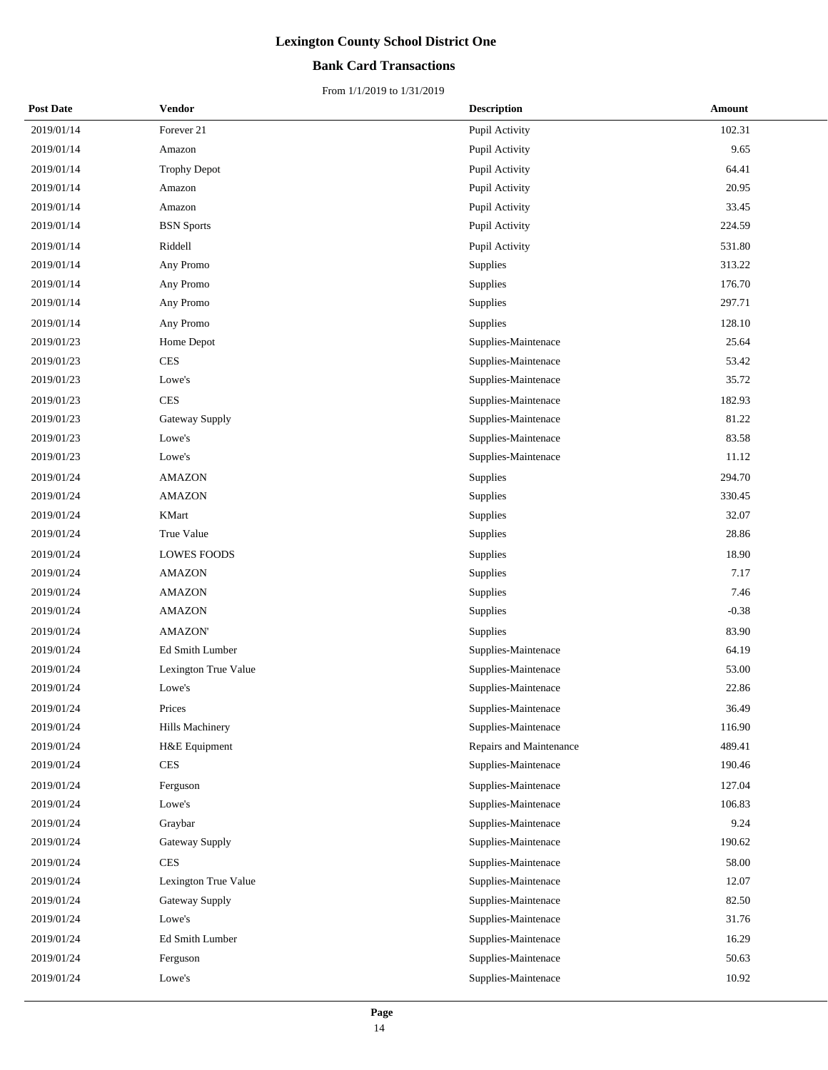### **Bank Card Transactions**

| <b>Post Date</b> | <b>Vendor</b>        | <b>Description</b>      | Amount  |
|------------------|----------------------|-------------------------|---------|
| 2019/01/14       | Forever 21           | Pupil Activity          | 102.31  |
| 2019/01/14       | Amazon               | Pupil Activity          | 9.65    |
| 2019/01/14       | <b>Trophy Depot</b>  | Pupil Activity          | 64.41   |
| 2019/01/14       | Amazon               | Pupil Activity          | 20.95   |
| 2019/01/14       | Amazon               | Pupil Activity          | 33.45   |
| 2019/01/14       | <b>BSN</b> Sports    | Pupil Activity          | 224.59  |
| 2019/01/14       | Riddell              | Pupil Activity          | 531.80  |
| 2019/01/14       | Any Promo            | Supplies                | 313.22  |
| 2019/01/14       | Any Promo            | Supplies                | 176.70  |
| 2019/01/14       | Any Promo            | Supplies                | 297.71  |
| 2019/01/14       | Any Promo            | Supplies                | 128.10  |
| 2019/01/23       | Home Depot           | Supplies-Maintenace     | 25.64   |
| 2019/01/23       | <b>CES</b>           | Supplies-Maintenace     | 53.42   |
| 2019/01/23       | Lowe's               | Supplies-Maintenace     | 35.72   |
| 2019/01/23       | <b>CES</b>           | Supplies-Maintenace     | 182.93  |
| 2019/01/23       | Gateway Supply       | Supplies-Maintenace     | 81.22   |
| 2019/01/23       | Lowe's               | Supplies-Maintenace     | 83.58   |
| 2019/01/23       | Lowe's               | Supplies-Maintenace     | 11.12   |
| 2019/01/24       | AMAZON               | Supplies                | 294.70  |
| 2019/01/24       | <b>AMAZON</b>        | Supplies                | 330.45  |
| 2019/01/24       | <b>KMart</b>         | Supplies                | 32.07   |
| 2019/01/24       | True Value           | Supplies                | 28.86   |
| 2019/01/24       | <b>LOWES FOODS</b>   | Supplies                | 18.90   |
| 2019/01/24       | <b>AMAZON</b>        | Supplies                | 7.17    |
| 2019/01/24       | <b>AMAZON</b>        | Supplies                | 7.46    |
| 2019/01/24       | AMAZON               | Supplies                | $-0.38$ |
| 2019/01/24       | <b>AMAZON'</b>       | Supplies                | 83.90   |
| 2019/01/24       | Ed Smith Lumber      | Supplies-Maintenace     | 64.19   |
| 2019/01/24       | Lexington True Value | Supplies-Maintenace     | 53.00   |
| 2019/01/24       | Lowe's               | Supplies-Maintenace     | 22.86   |
| 2019/01/24       | Prices               | Supplies-Maintenace     | 36.49   |
| 2019/01/24       | Hills Machinery      | Supplies-Maintenace     | 116.90  |
| 2019/01/24       | H&E Equipment        | Repairs and Maintenance | 489.41  |
| 2019/01/24       | <b>CES</b>           | Supplies-Maintenace     | 190.46  |
| 2019/01/24       | Ferguson             | Supplies-Maintenace     | 127.04  |
| 2019/01/24       | Lowe's               | Supplies-Maintenace     | 106.83  |
| 2019/01/24       | Graybar              | Supplies-Maintenace     | 9.24    |
| 2019/01/24       | Gateway Supply       | Supplies-Maintenace     | 190.62  |
| 2019/01/24       | <b>CES</b>           | Supplies-Maintenace     | 58.00   |
| 2019/01/24       | Lexington True Value | Supplies-Maintenace     | 12.07   |
| 2019/01/24       | Gateway Supply       | Supplies-Maintenace     | 82.50   |
| 2019/01/24       | Lowe's               | Supplies-Maintenace     | 31.76   |
| 2019/01/24       | Ed Smith Lumber      | Supplies-Maintenace     | 16.29   |
| 2019/01/24       | Ferguson             | Supplies-Maintenace     | 50.63   |
| 2019/01/24       | Lowe's               | Supplies-Maintenace     | 10.92   |
|                  |                      |                         |         |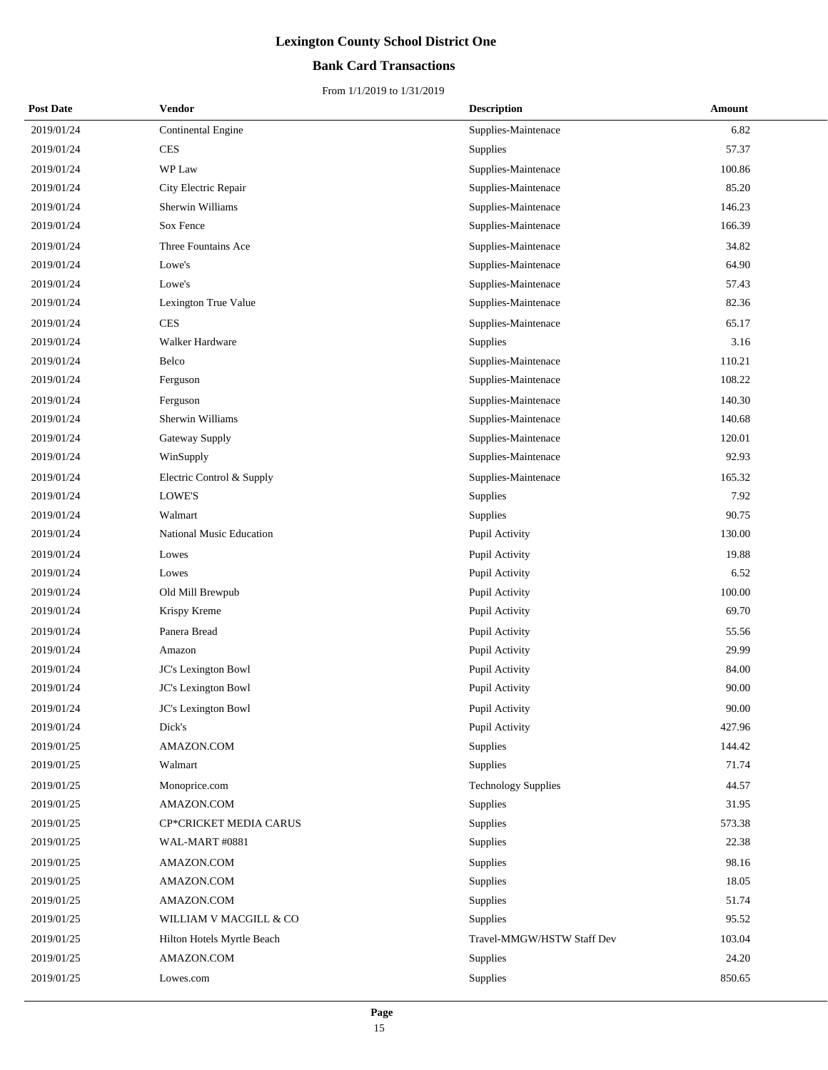### **Bank Card Transactions**

| <b>Post Date</b> | Vendor                          | <b>Description</b>         | Amount |
|------------------|---------------------------------|----------------------------|--------|
| 2019/01/24       | Continental Engine              | Supplies-Maintenace        | 6.82   |
| 2019/01/24       | <b>CES</b>                      | Supplies                   | 57.37  |
| 2019/01/24       | WP Law                          | Supplies-Maintenace        | 100.86 |
| 2019/01/24       | City Electric Repair            | Supplies-Maintenace        | 85.20  |
| 2019/01/24       | Sherwin Williams                | Supplies-Maintenace        | 146.23 |
| 2019/01/24       | Sox Fence                       | Supplies-Maintenace        | 166.39 |
| 2019/01/24       | Three Fountains Ace             | Supplies-Maintenace        | 34.82  |
| 2019/01/24       | Lowe's                          | Supplies-Maintenace        | 64.90  |
| 2019/01/24       | Lowe's                          | Supplies-Maintenace        | 57.43  |
| 2019/01/24       | Lexington True Value            | Supplies-Maintenace        | 82.36  |
| 2019/01/24       | <b>CES</b>                      | Supplies-Maintenace        | 65.17  |
| 2019/01/24       | Walker Hardware                 | Supplies                   | 3.16   |
| 2019/01/24       | Belco                           | Supplies-Maintenace        | 110.21 |
| 2019/01/24       | Ferguson                        | Supplies-Maintenace        | 108.22 |
| 2019/01/24       | Ferguson                        | Supplies-Maintenace        | 140.30 |
| 2019/01/24       | Sherwin Williams                | Supplies-Maintenace        | 140.68 |
| 2019/01/24       | <b>Gateway Supply</b>           | Supplies-Maintenace        | 120.01 |
| 2019/01/24       | WinSupply                       | Supplies-Maintenace        | 92.93  |
| 2019/01/24       | Electric Control & Supply       | Supplies-Maintenace        | 165.32 |
| 2019/01/24       | LOWE'S                          | Supplies                   | 7.92   |
| 2019/01/24       | Walmart                         | Supplies                   | 90.75  |
| 2019/01/24       | <b>National Music Education</b> | Pupil Activity             | 130.00 |
| 2019/01/24       | Lowes                           | Pupil Activity             | 19.88  |
| 2019/01/24       | Lowes                           | Pupil Activity             | 6.52   |
| 2019/01/24       | Old Mill Brewpub                | Pupil Activity             | 100.00 |
| 2019/01/24       | Krispy Kreme                    | Pupil Activity             | 69.70  |
| 2019/01/24       | Panera Bread                    | Pupil Activity             | 55.56  |
| 2019/01/24       | Amazon                          | Pupil Activity             | 29.99  |
| 2019/01/24       | JC's Lexington Bowl             | Pupil Activity             | 84.00  |
| 2019/01/24       | JC's Lexington Bowl             | Pupil Activity             | 90.00  |
| 2019/01/24       | JC's Lexington Bowl             | Pupil Activity             | 90.00  |
| 2019/01/24       | Dick's                          | Pupil Activity             | 427.96 |
| 2019/01/25       | AMAZON.COM                      | Supplies                   | 144.42 |
| 2019/01/25       | Walmart                         | Supplies                   | 71.74  |
| 2019/01/25       | Monoprice.com                   | <b>Technology Supplies</b> | 44.57  |
| 2019/01/25       | AMAZON.COM                      | Supplies                   | 31.95  |
| 2019/01/25       | CP*CRICKET MEDIA CARUS          | Supplies                   | 573.38 |
| 2019/01/25       | WAL-MART #0881                  | Supplies                   | 22.38  |
| 2019/01/25       | AMAZON.COM                      | Supplies                   | 98.16  |
| 2019/01/25       | AMAZON.COM                      | Supplies                   | 18.05  |
| 2019/01/25       | AMAZON.COM                      | Supplies                   | 51.74  |
| 2019/01/25       | WILLIAM V MACGILL & CO          | Supplies                   | 95.52  |
| 2019/01/25       | Hilton Hotels Myrtle Beach      | Travel-MMGW/HSTW Staff Dev | 103.04 |
| 2019/01/25       | AMAZON.COM                      | Supplies                   | 24.20  |
| 2019/01/25       | Lowes.com                       | Supplies                   | 850.65 |
|                  |                                 |                            |        |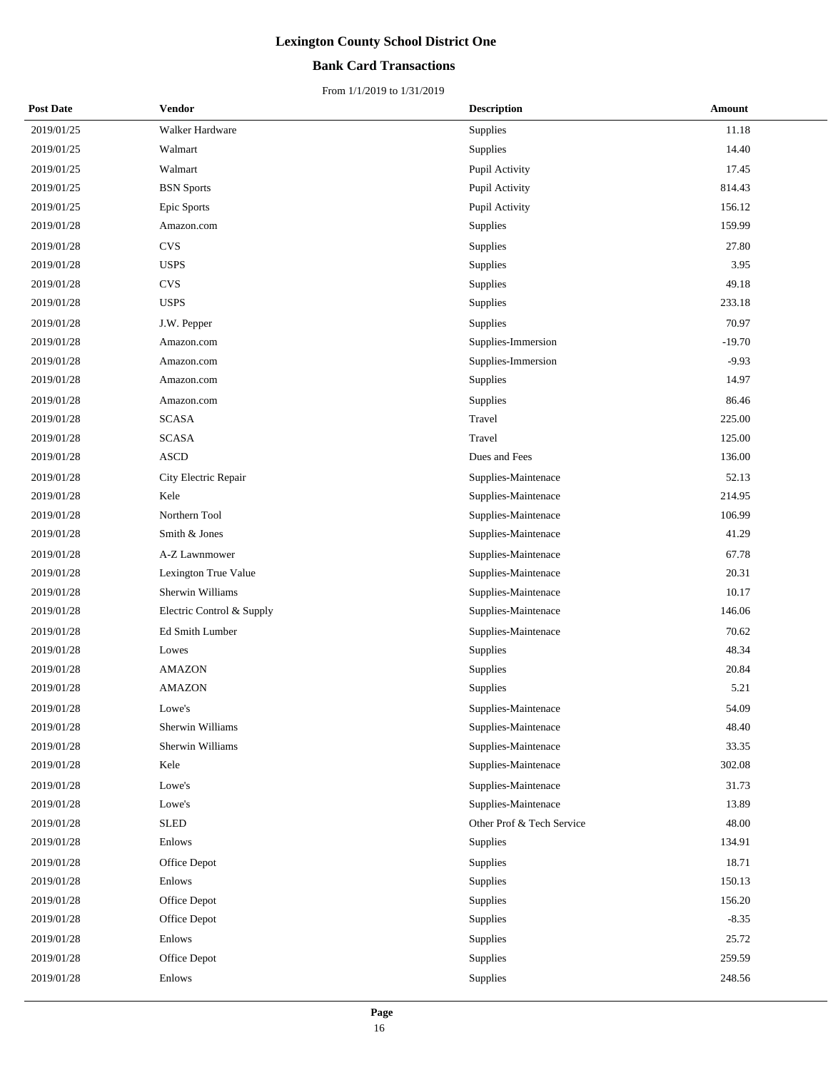### **Bank Card Transactions**

| <b>Post Date</b> | <b>Vendor</b>             | <b>Description</b>        | <b>Amount</b> |  |
|------------------|---------------------------|---------------------------|---------------|--|
| 2019/01/25       | Walker Hardware           | Supplies                  | 11.18         |  |
| 2019/01/25       | Walmart                   | Supplies                  | 14.40         |  |
| 2019/01/25       | Walmart                   | Pupil Activity            | 17.45         |  |
| 2019/01/25       | <b>BSN</b> Sports         | Pupil Activity            | 814.43        |  |
| 2019/01/25       | Epic Sports               | Pupil Activity            | 156.12        |  |
| 2019/01/28       | Amazon.com                | Supplies                  | 159.99        |  |
| 2019/01/28       | <b>CVS</b>                | Supplies                  | 27.80         |  |
| 2019/01/28       | <b>USPS</b>               | Supplies                  | 3.95          |  |
| 2019/01/28       | <b>CVS</b>                | Supplies                  | 49.18         |  |
| 2019/01/28       | <b>USPS</b>               | Supplies                  | 233.18        |  |
| 2019/01/28       | J.W. Pepper               | Supplies                  | 70.97         |  |
| 2019/01/28       | Amazon.com                | Supplies-Immersion        | $-19.70$      |  |
| 2019/01/28       | Amazon.com                | Supplies-Immersion        | $-9.93$       |  |
| 2019/01/28       | Amazon.com                | Supplies                  | 14.97         |  |
| 2019/01/28       | Amazon.com                | Supplies                  | 86.46         |  |
| 2019/01/28       | <b>SCASA</b>              | Travel                    | 225.00        |  |
| 2019/01/28       | <b>SCASA</b>              | Travel                    | 125.00        |  |
| 2019/01/28       | <b>ASCD</b>               | Dues and Fees             | 136.00        |  |
| 2019/01/28       | City Electric Repair      | Supplies-Maintenace       | 52.13         |  |
| 2019/01/28       | Kele                      | Supplies-Maintenace       | 214.95        |  |
| 2019/01/28       | Northern Tool             | Supplies-Maintenace       | 106.99        |  |
| 2019/01/28       | Smith & Jones             | Supplies-Maintenace       | 41.29         |  |
| 2019/01/28       | A-Z Lawnmower             | Supplies-Maintenace       | 67.78         |  |
| 2019/01/28       | Lexington True Value      | Supplies-Maintenace       | 20.31         |  |
| 2019/01/28       | Sherwin Williams          | Supplies-Maintenace       | 10.17         |  |
| 2019/01/28       | Electric Control & Supply | Supplies-Maintenace       | 146.06        |  |
| 2019/01/28       | Ed Smith Lumber           | Supplies-Maintenace       | 70.62         |  |
| 2019/01/28       | Lowes                     | Supplies                  | 48.34         |  |
| 2019/01/28       | <b>AMAZON</b>             | Supplies                  | 20.84         |  |
| 2019/01/28       | <b>AMAZON</b>             | Supplies                  | 5.21          |  |
| 2019/01/28       | Lowe's                    | Supplies-Maintenace       | 54.09         |  |
| 2019/01/28       | Sherwin Williams          | Supplies-Maintenace       | 48.40         |  |
| 2019/01/28       | Sherwin Williams          | Supplies-Maintenace       | 33.35         |  |
| 2019/01/28       | Kele                      | Supplies-Maintenace       | 302.08        |  |
| 2019/01/28       | Lowe's                    | Supplies-Maintenace       | 31.73         |  |
| 2019/01/28       | Lowe's                    | Supplies-Maintenace       | 13.89         |  |
| 2019/01/28       | <b>SLED</b>               | Other Prof & Tech Service | 48.00         |  |
| 2019/01/28       | Enlows                    | Supplies                  | 134.91        |  |
| 2019/01/28       | Office Depot              | Supplies                  | 18.71         |  |
| 2019/01/28       | Enlows                    | Supplies                  | 150.13        |  |
| 2019/01/28       | Office Depot              | Supplies                  | 156.20        |  |
| 2019/01/28       | Office Depot              | Supplies                  | $-8.35$       |  |
| 2019/01/28       | Enlows                    | Supplies                  | 25.72         |  |
| 2019/01/28       | Office Depot              | Supplies                  | 259.59        |  |
| 2019/01/28       | Enlows                    | Supplies                  | 248.56        |  |
|                  |                           |                           |               |  |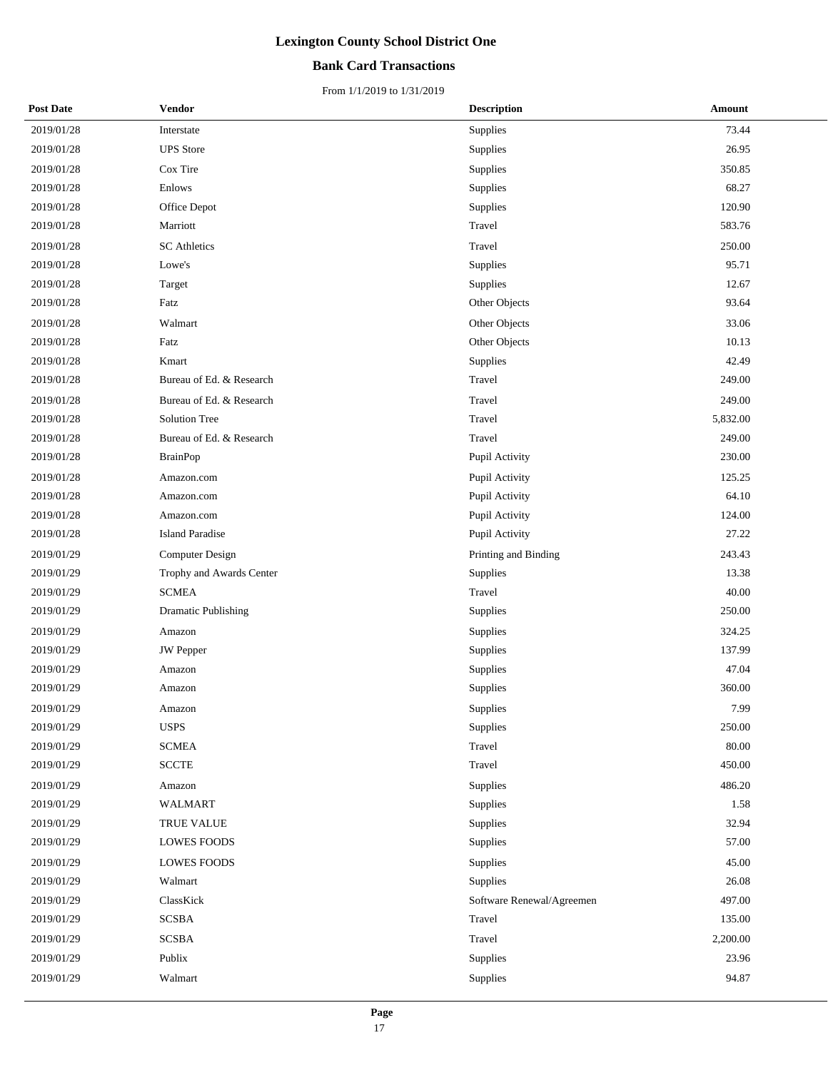### **Bank Card Transactions**

| <b>Post Date</b> | <b>Vendor</b>            | <b>Description</b>        | <b>Amount</b> |
|------------------|--------------------------|---------------------------|---------------|
| 2019/01/28       | Interstate               | Supplies                  | 73.44         |
| 2019/01/28       | <b>UPS</b> Store         | Supplies                  | 26.95         |
| 2019/01/28       | Cox Tire                 | Supplies                  | 350.85        |
| 2019/01/28       | Enlows                   | Supplies                  | 68.27         |
| 2019/01/28       | Office Depot             | Supplies                  | 120.90        |
| 2019/01/28       | Marriott                 | Travel                    | 583.76        |
| 2019/01/28       | <b>SC</b> Athletics      | Travel                    | 250.00        |
| 2019/01/28       | Lowe's                   | Supplies                  | 95.71         |
| 2019/01/28       | Target                   | Supplies                  | 12.67         |
| 2019/01/28       | Fatz                     | Other Objects             | 93.64         |
| 2019/01/28       | Walmart                  | Other Objects             | 33.06         |
| 2019/01/28       | Fatz                     | Other Objects             | 10.13         |
| 2019/01/28       | Kmart                    | Supplies                  | 42.49         |
| 2019/01/28       | Bureau of Ed. & Research | Travel                    | 249.00        |
| 2019/01/28       | Bureau of Ed. & Research | Travel                    | 249.00        |
| 2019/01/28       | <b>Solution Tree</b>     | Travel                    | 5,832.00      |
| 2019/01/28       | Bureau of Ed. & Research | Travel                    | 249.00        |
| 2019/01/28       | <b>BrainPop</b>          | Pupil Activity            | 230.00        |
| 2019/01/28       | Amazon.com               | Pupil Activity            | 125.25        |
| 2019/01/28       | Amazon.com               | Pupil Activity            | 64.10         |
| 2019/01/28       | Amazon.com               | Pupil Activity            | 124.00        |
| 2019/01/28       | <b>Island Paradise</b>   | Pupil Activity            | 27.22         |
| 2019/01/29       | <b>Computer Design</b>   | Printing and Binding      | 243.43        |
| 2019/01/29       | Trophy and Awards Center | Supplies                  | 13.38         |
| 2019/01/29       | <b>SCMEA</b>             | Travel                    | 40.00         |
| 2019/01/29       | Dramatic Publishing      | Supplies                  | 250.00        |
| 2019/01/29       | Amazon                   | Supplies                  | 324.25        |
| 2019/01/29       | <b>JW</b> Pepper         | Supplies                  | 137.99        |
| 2019/01/29       | Amazon                   | Supplies                  | 47.04         |
| 2019/01/29       | Amazon                   | Supplies                  | 360.00        |
| 2019/01/29       | Amazon                   | Supplies                  | 7.99          |
| 2019/01/29       | <b>USPS</b>              | Supplies                  | 250.00        |
| 2019/01/29       | <b>SCMEA</b>             | Travel                    | 80.00         |
| 2019/01/29       | <b>SCCTE</b>             | Travel                    | 450.00        |
| 2019/01/29       | Amazon                   | Supplies                  | 486.20        |
| 2019/01/29       | <b>WALMART</b>           | Supplies                  | 1.58          |
| 2019/01/29       | TRUE VALUE               | Supplies                  | 32.94         |
| 2019/01/29       | <b>LOWES FOODS</b>       | Supplies                  | 57.00         |
| 2019/01/29       | <b>LOWES FOODS</b>       | Supplies                  | 45.00         |
| 2019/01/29       | Walmart                  | Supplies                  | 26.08         |
| 2019/01/29       | ClassKick                | Software Renewal/Agreemen | 497.00        |
| 2019/01/29       | <b>SCSBA</b>             | Travel                    | 135.00        |
| 2019/01/29       | <b>SCSBA</b>             | Travel                    | 2,200.00      |
| 2019/01/29       | Publix                   | Supplies                  | 23.96         |
| 2019/01/29       | Walmart                  | Supplies                  | 94.87         |
|                  |                          |                           |               |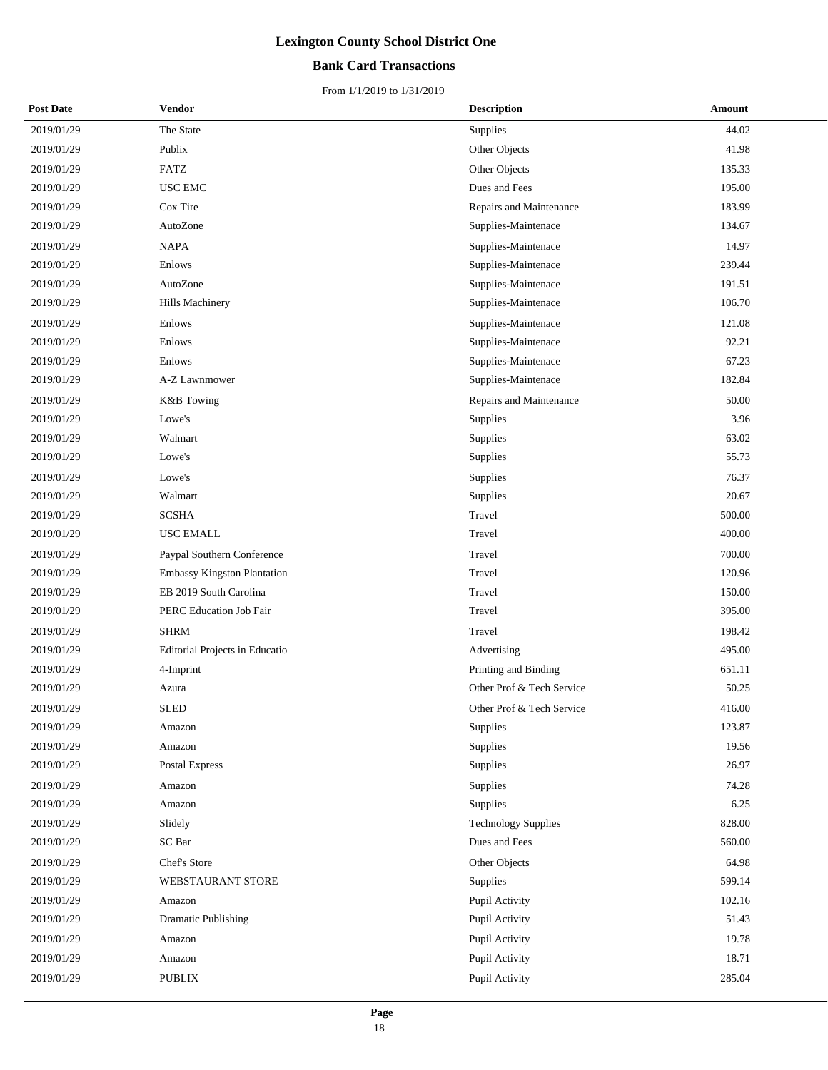### **Bank Card Transactions**

| <b>Post Date</b> | <b>Vendor</b>                         | <b>Description</b>         | Amount |
|------------------|---------------------------------------|----------------------------|--------|
| 2019/01/29       | The State                             | Supplies                   | 44.02  |
| 2019/01/29       | Publix                                | Other Objects              | 41.98  |
| 2019/01/29       | <b>FATZ</b>                           | Other Objects              | 135.33 |
| 2019/01/29       | <b>USC EMC</b>                        | Dues and Fees              | 195.00 |
| 2019/01/29       | Cox Tire                              | Repairs and Maintenance    | 183.99 |
| 2019/01/29       | AutoZone                              | Supplies-Maintenace        | 134.67 |
| 2019/01/29       | <b>NAPA</b>                           | Supplies-Maintenace        | 14.97  |
| 2019/01/29       | Enlows                                | Supplies-Maintenace        | 239.44 |
| 2019/01/29       | AutoZone                              | Supplies-Maintenace        | 191.51 |
| 2019/01/29       | Hills Machinery                       | Supplies-Maintenace        | 106.70 |
| 2019/01/29       | Enlows                                | Supplies-Maintenace        | 121.08 |
| 2019/01/29       | Enlows                                | Supplies-Maintenace        | 92.21  |
| 2019/01/29       | Enlows                                | Supplies-Maintenace        | 67.23  |
| 2019/01/29       | A-Z Lawnmower                         | Supplies-Maintenace        | 182.84 |
| 2019/01/29       | <b>K&amp;B</b> Towing                 | Repairs and Maintenance    | 50.00  |
| 2019/01/29       | Lowe's                                | Supplies                   | 3.96   |
| 2019/01/29       | Walmart                               | Supplies                   | 63.02  |
| 2019/01/29       | Lowe's                                | Supplies                   | 55.73  |
| 2019/01/29       | Lowe's                                | Supplies                   | 76.37  |
| 2019/01/29       | Walmart                               | Supplies                   | 20.67  |
| 2019/01/29       | <b>SCSHA</b>                          | Travel                     | 500.00 |
| 2019/01/29       | <b>USC EMALL</b>                      | Travel                     | 400.00 |
| 2019/01/29       | Paypal Southern Conference            | Travel                     | 700.00 |
| 2019/01/29       | Embassy Kingston Plantation           | Travel                     | 120.96 |
| 2019/01/29       | EB 2019 South Carolina                | Travel                     | 150.00 |
| 2019/01/29       | PERC Education Job Fair               | Travel                     | 395.00 |
| 2019/01/29       | <b>SHRM</b>                           | Travel                     | 198.42 |
| 2019/01/29       | <b>Editorial Projects in Educatio</b> | Advertising                | 495.00 |
| 2019/01/29       | 4-Imprint                             | Printing and Binding       | 651.11 |
| 2019/01/29       | Azura                                 | Other Prof & Tech Service  | 50.25  |
| 2019/01/29       | <b>SLED</b>                           | Other Prof & Tech Service  | 416.00 |
| 2019/01/29       | Amazon                                | Supplies                   | 123.87 |
| 2019/01/29       | Amazon                                | Supplies                   | 19.56  |
| 2019/01/29       | Postal Express                        | Supplies                   | 26.97  |
| 2019/01/29       | Amazon                                | Supplies                   | 74.28  |
| 2019/01/29       | Amazon                                | Supplies                   | 6.25   |
| 2019/01/29       | Slidely                               | <b>Technology Supplies</b> | 828.00 |
| 2019/01/29       | SC Bar                                | Dues and Fees              | 560.00 |
| 2019/01/29       | Chef's Store                          | Other Objects              | 64.98  |
| 2019/01/29       | WEBSTAURANT STORE                     | Supplies                   | 599.14 |
| 2019/01/29       | Amazon                                | Pupil Activity             | 102.16 |
| 2019/01/29       | <b>Dramatic Publishing</b>            | Pupil Activity             | 51.43  |
| 2019/01/29       | Amazon                                | Pupil Activity             | 19.78  |
| 2019/01/29       | Amazon                                | Pupil Activity             | 18.71  |
| 2019/01/29       | <b>PUBLIX</b>                         | Pupil Activity             | 285.04 |
|                  |                                       |                            |        |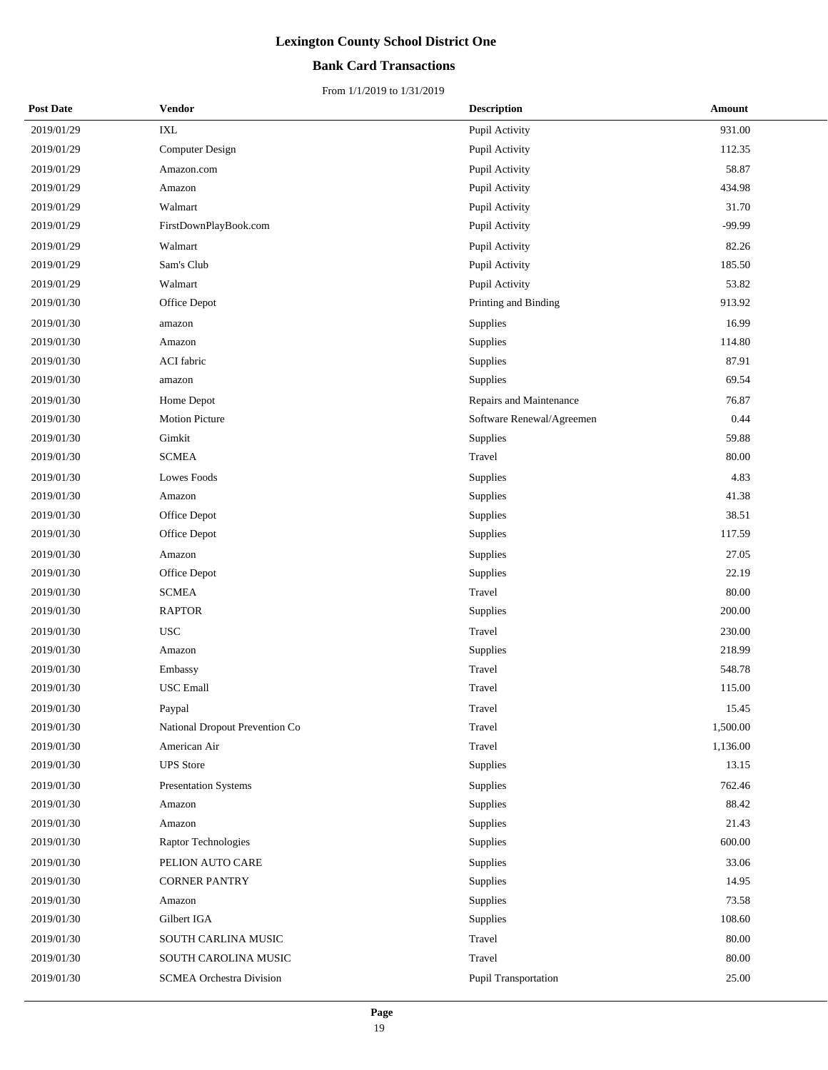### **Bank Card Transactions**

| <b>Post Date</b> | <b>Vendor</b>                   | <b>Description</b>          | Amount   |
|------------------|---------------------------------|-----------------------------|----------|
| 2019/01/29       | <b>IXL</b>                      | Pupil Activity              | 931.00   |
| 2019/01/29       | <b>Computer Design</b>          | Pupil Activity              | 112.35   |
| 2019/01/29       | Amazon.com                      | Pupil Activity              | 58.87    |
| 2019/01/29       | Amazon                          | Pupil Activity              | 434.98   |
| 2019/01/29       | Walmart                         | Pupil Activity              | 31.70    |
| 2019/01/29       | FirstDownPlayBook.com           | Pupil Activity              | $-99.99$ |
| 2019/01/29       | Walmart                         | Pupil Activity              | 82.26    |
| 2019/01/29       | Sam's Club                      | Pupil Activity              | 185.50   |
| 2019/01/29       | Walmart                         | Pupil Activity              | 53.82    |
| 2019/01/30       | Office Depot                    | Printing and Binding        | 913.92   |
| 2019/01/30       | amazon                          | Supplies                    | 16.99    |
| 2019/01/30       | Amazon                          | Supplies                    | 114.80   |
| 2019/01/30       | ACI fabric                      | Supplies                    | 87.91    |
| 2019/01/30       | amazon                          | Supplies                    | 69.54    |
| 2019/01/30       | Home Depot                      | Repairs and Maintenance     | 76.87    |
| 2019/01/30       | <b>Motion Picture</b>           | Software Renewal/Agreemen   | 0.44     |
| 2019/01/30       | Gimkit                          | Supplies                    | 59.88    |
| 2019/01/30       | <b>SCMEA</b>                    | Travel                      | 80.00    |
| 2019/01/30       | Lowes Foods                     | Supplies                    | 4.83     |
| 2019/01/30       | Amazon                          | Supplies                    | 41.38    |
| 2019/01/30       | Office Depot                    | Supplies                    | 38.51    |
| 2019/01/30       | Office Depot                    | Supplies                    | 117.59   |
| 2019/01/30       | Amazon                          | Supplies                    | 27.05    |
| 2019/01/30       | Office Depot                    | Supplies                    | 22.19    |
| 2019/01/30       | <b>SCMEA</b>                    | Travel                      | 80.00    |
| 2019/01/30       | <b>RAPTOR</b>                   | Supplies                    | 200.00   |
| 2019/01/30       | <b>USC</b>                      | Travel                      | 230.00   |
| 2019/01/30       | Amazon                          | Supplies                    | 218.99   |
| 2019/01/30       | Embassy                         | Travel                      | 548.78   |
| 2019/01/30       | <b>USC</b> Emall                | Travel                      | 115.00   |
| 2019/01/30       | Paypal                          | Travel                      | 15.45    |
| 2019/01/30       | National Dropout Prevention Co  | Travel                      | 1,500.00 |
| 2019/01/30       | American Air                    | Travel                      | 1,136.00 |
| 2019/01/30       | <b>UPS</b> Store                | Supplies                    | 13.15    |
| 2019/01/30       | <b>Presentation Systems</b>     | Supplies                    | 762.46   |
| 2019/01/30       | Amazon                          | Supplies                    | 88.42    |
| 2019/01/30       | Amazon                          | Supplies                    | 21.43    |
| 2019/01/30       | Raptor Technologies             | Supplies                    | 600.00   |
| 2019/01/30       | PELION AUTO CARE                | Supplies                    | 33.06    |
| 2019/01/30       | <b>CORNER PANTRY</b>            | Supplies                    | 14.95    |
| 2019/01/30       | Amazon                          | Supplies                    | 73.58    |
| 2019/01/30       | Gilbert IGA                     | Supplies                    | 108.60   |
| 2019/01/30       | SOUTH CARLINA MUSIC             | Travel                      | 80.00    |
| 2019/01/30       | SOUTH CAROLINA MUSIC            | Travel                      | 80.00    |
| 2019/01/30       | <b>SCMEA Orchestra Division</b> | <b>Pupil Transportation</b> | 25.00    |
|                  |                                 |                             |          |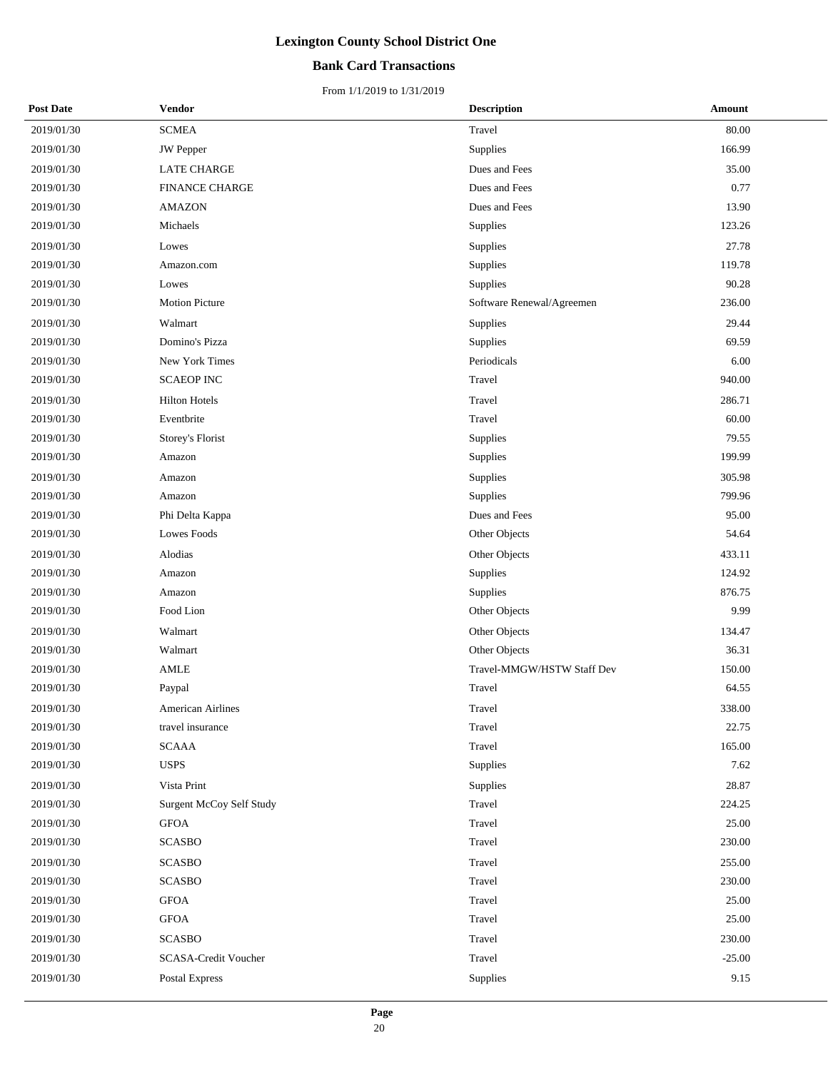### **Bank Card Transactions**

| <b>Post Date</b> | <b>Vendor</b>            | <b>Description</b>         | <b>Amount</b> |
|------------------|--------------------------|----------------------------|---------------|
| 2019/01/30       | <b>SCMEA</b>             | Travel                     | 80.00         |
| 2019/01/30       | JW Pepper                | Supplies                   | 166.99        |
| 2019/01/30       | <b>LATE CHARGE</b>       | Dues and Fees              | 35.00         |
| 2019/01/30       | <b>FINANCE CHARGE</b>    | Dues and Fees              | 0.77          |
| 2019/01/30       | <b>AMAZON</b>            | Dues and Fees              | 13.90         |
| 2019/01/30       | Michaels                 | Supplies                   | 123.26        |
| 2019/01/30       | Lowes                    | Supplies                   | 27.78         |
| 2019/01/30       | Amazon.com               | Supplies                   | 119.78        |
| 2019/01/30       | Lowes                    | Supplies                   | 90.28         |
| 2019/01/30       | <b>Motion Picture</b>    | Software Renewal/Agreemen  | 236.00        |
| 2019/01/30       | Walmart                  | Supplies                   | 29.44         |
| 2019/01/30       | Domino's Pizza           | Supplies                   | 69.59         |
| 2019/01/30       | New York Times           | Periodicals                | $6.00\,$      |
| 2019/01/30       | <b>SCAEOP INC</b>        | Travel                     | 940.00        |
| 2019/01/30       | <b>Hilton Hotels</b>     | Travel                     | 286.71        |
| 2019/01/30       | Eventbrite               | Travel                     | 60.00         |
| 2019/01/30       | Storey's Florist         | Supplies                   | 79.55         |
| 2019/01/30       | Amazon                   | Supplies                   | 199.99        |
| 2019/01/30       | Amazon                   | Supplies                   | 305.98        |
| 2019/01/30       | Amazon                   | Supplies                   | 799.96        |
| 2019/01/30       | Phi Delta Kappa          | Dues and Fees              | 95.00         |
| 2019/01/30       | Lowes Foods              | Other Objects              | 54.64         |
| 2019/01/30       | Alodias                  | Other Objects              | 433.11        |
| 2019/01/30       | Amazon                   | Supplies                   | 124.92        |
| 2019/01/30       | Amazon                   | Supplies                   | 876.75        |
| 2019/01/30       | Food Lion                | Other Objects              | 9.99          |
| 2019/01/30       | Walmart                  | Other Objects              | 134.47        |
| 2019/01/30       | Walmart                  | Other Objects              | 36.31         |
| 2019/01/30       | <b>AMLE</b>              | Travel-MMGW/HSTW Staff Dev | 150.00        |
| 2019/01/30       | Paypal                   | Travel                     | 64.55         |
| 2019/01/30       | American Airlines        | Travel                     | 338.00        |
| 2019/01/30       | travel insurance         | Travel                     | 22.75         |
| 2019/01/30       | <b>SCAAA</b>             | Travel                     | 165.00        |
| 2019/01/30       | <b>USPS</b>              | Supplies                   | 7.62          |
| 2019/01/30       | Vista Print              | Supplies                   | 28.87         |
| 2019/01/30       | Surgent McCoy Self Study | Travel                     | 224.25        |
| 2019/01/30       | <b>GFOA</b>              | Travel                     | 25.00         |
| 2019/01/30       | <b>SCASBO</b>            | Travel                     | 230.00        |
| 2019/01/30       | <b>SCASBO</b>            | Travel                     | 255.00        |
| 2019/01/30       | <b>SCASBO</b>            | Travel                     | 230.00        |
| 2019/01/30       | <b>GFOA</b>              | Travel                     | 25.00         |
| 2019/01/30       | <b>GFOA</b>              | Travel                     | 25.00         |
| 2019/01/30       | <b>SCASBO</b>            | Travel                     | 230.00        |
| 2019/01/30       | SCASA-Credit Voucher     | Travel                     | $-25.00$      |
| 2019/01/30       | Postal Express           | Supplies                   | 9.15          |
|                  |                          |                            |               |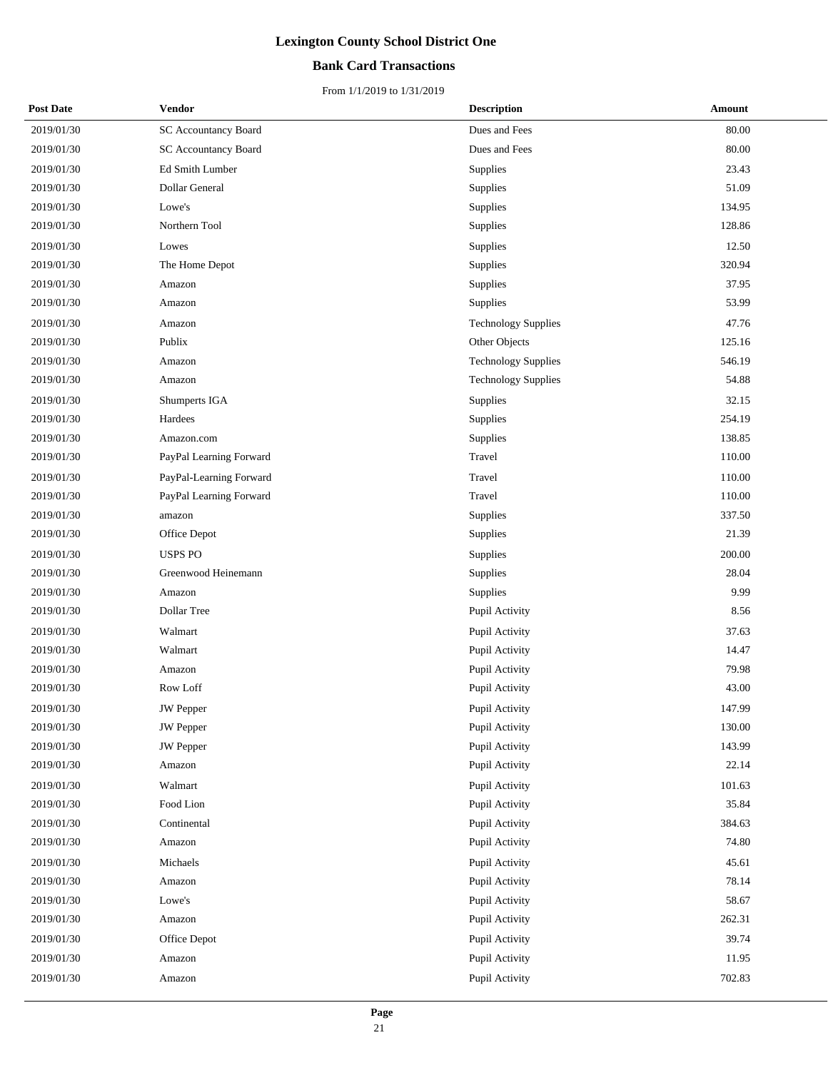### **Bank Card Transactions**

| <b>Post Date</b> | Vendor                      | <b>Description</b>         | <b>Amount</b> |
|------------------|-----------------------------|----------------------------|---------------|
| 2019/01/30       | <b>SC Accountancy Board</b> | Dues and Fees              | 80.00         |
| 2019/01/30       | <b>SC Accountancy Board</b> | Dues and Fees              | 80.00         |
| 2019/01/30       | Ed Smith Lumber             | Supplies                   | 23.43         |
| 2019/01/30       | <b>Dollar General</b>       | Supplies                   | 51.09         |
| 2019/01/30       | Lowe's                      | Supplies                   | 134.95        |
| 2019/01/30       | Northern Tool               | Supplies                   | 128.86        |
| 2019/01/30       | Lowes                       | Supplies                   | 12.50         |
| 2019/01/30       | The Home Depot              | Supplies                   | 320.94        |
| 2019/01/30       | Amazon                      | Supplies                   | 37.95         |
| 2019/01/30       | Amazon                      | Supplies                   | 53.99         |
| 2019/01/30       | Amazon                      | <b>Technology Supplies</b> | 47.76         |
| 2019/01/30       | Publix                      | Other Objects              | 125.16        |
| 2019/01/30       | Amazon                      | <b>Technology Supplies</b> | 546.19        |
| 2019/01/30       | Amazon                      | <b>Technology Supplies</b> | 54.88         |
| 2019/01/30       | Shumperts IGA               | Supplies                   | 32.15         |
| 2019/01/30       | Hardees                     | Supplies                   | 254.19        |
| 2019/01/30       | Amazon.com                  | Supplies                   | 138.85        |
| 2019/01/30       | PayPal Learning Forward     | Travel                     | 110.00        |
| 2019/01/30       | PayPal-Learning Forward     | Travel                     | 110.00        |
| 2019/01/30       | PayPal Learning Forward     | Travel                     | 110.00        |
| 2019/01/30       | amazon                      | Supplies                   | 337.50        |
| 2019/01/30       | Office Depot                | Supplies                   | 21.39         |
| 2019/01/30       | <b>USPS PO</b>              | Supplies                   | 200.00        |
| 2019/01/30       | Greenwood Heinemann         | Supplies                   | 28.04         |
| 2019/01/30       | Amazon                      | Supplies                   | 9.99          |
| 2019/01/30       | Dollar Tree                 | Pupil Activity             | 8.56          |
| 2019/01/30       | Walmart                     | Pupil Activity             | 37.63         |
| 2019/01/30       | Walmart                     | Pupil Activity             | 14.47         |
| 2019/01/30       | Amazon                      | Pupil Activity             | 79.98         |
| 2019/01/30       | Row Loff                    | Pupil Activity             | 43.00         |
| 2019/01/30       | $\,$ JW Pepper              | Pupil Activity             | 147.99        |
| 2019/01/30       | JW Pepper                   | Pupil Activity             | 130.00        |
| 2019/01/30       | <b>JW</b> Pepper            | Pupil Activity             | 143.99        |
| 2019/01/30       | Amazon                      | Pupil Activity             | 22.14         |
| 2019/01/30       | Walmart                     | Pupil Activity             | 101.63        |
| 2019/01/30       | Food Lion                   | Pupil Activity             | 35.84         |
| 2019/01/30       | Continental                 | Pupil Activity             | 384.63        |
| 2019/01/30       | Amazon                      | Pupil Activity             | 74.80         |
| 2019/01/30       | Michaels                    | Pupil Activity             | 45.61         |
| 2019/01/30       | Amazon                      | Pupil Activity             | 78.14         |
| 2019/01/30       | Lowe's                      | Pupil Activity             | 58.67         |
| 2019/01/30       | Amazon                      | Pupil Activity             | 262.31        |
| 2019/01/30       | Office Depot                | Pupil Activity             | 39.74         |
| 2019/01/30       | Amazon                      | Pupil Activity             | 11.95         |
| 2019/01/30       | Amazon                      | Pupil Activity             | 702.83        |
|                  |                             |                            |               |